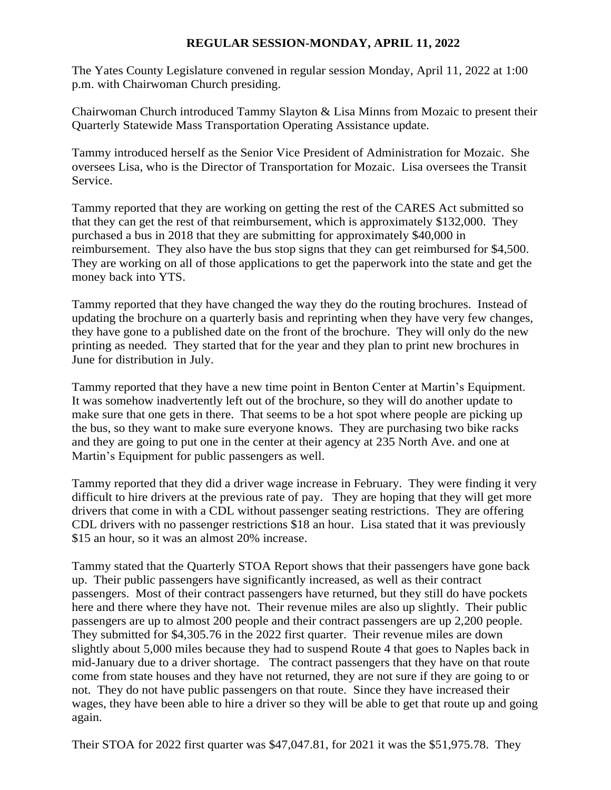## **REGULAR SESSION-MONDAY, APRIL 11, 2022**

The Yates County Legislature convened in regular session Monday, April 11, 2022 at 1:00 p.m. with Chairwoman Church presiding.

Chairwoman Church introduced Tammy Slayton & Lisa Minns from Mozaic to present their Quarterly Statewide Mass Transportation Operating Assistance update.

Tammy introduced herself as the Senior Vice President of Administration for Mozaic. She oversees Lisa, who is the Director of Transportation for Mozaic. Lisa oversees the Transit Service.

Tammy reported that they are working on getting the rest of the CARES Act submitted so that they can get the rest of that reimbursement, which is approximately \$132,000. They purchased a bus in 2018 that they are submitting for approximately \$40,000 in reimbursement. They also have the bus stop signs that they can get reimbursed for \$4,500. They are working on all of those applications to get the paperwork into the state and get the money back into YTS.

Tammy reported that they have changed the way they do the routing brochures. Instead of updating the brochure on a quarterly basis and reprinting when they have very few changes, they have gone to a published date on the front of the brochure. They will only do the new printing as needed. They started that for the year and they plan to print new brochures in June for distribution in July.

Tammy reported that they have a new time point in Benton Center at Martin's Equipment. It was somehow inadvertently left out of the brochure, so they will do another update to make sure that one gets in there. That seems to be a hot spot where people are picking up the bus, so they want to make sure everyone knows. They are purchasing two bike racks and they are going to put one in the center at their agency at 235 North Ave. and one at Martin's Equipment for public passengers as well.

Tammy reported that they did a driver wage increase in February. They were finding it very difficult to hire drivers at the previous rate of pay. They are hoping that they will get more drivers that come in with a CDL without passenger seating restrictions. They are offering CDL drivers with no passenger restrictions \$18 an hour. Lisa stated that it was previously \$15 an hour, so it was an almost 20% increase.

Tammy stated that the Quarterly STOA Report shows that their passengers have gone back up. Their public passengers have significantly increased, as well as their contract passengers. Most of their contract passengers have returned, but they still do have pockets here and there where they have not. Their revenue miles are also up slightly. Their public passengers are up to almost 200 people and their contract passengers are up 2,200 people. They submitted for \$4,305.76 in the 2022 first quarter. Their revenue miles are down slightly about 5,000 miles because they had to suspend Route 4 that goes to Naples back in mid-January due to a driver shortage. The contract passengers that they have on that route come from state houses and they have not returned, they are not sure if they are going to or not. They do not have public passengers on that route. Since they have increased their wages, they have been able to hire a driver so they will be able to get that route up and going again.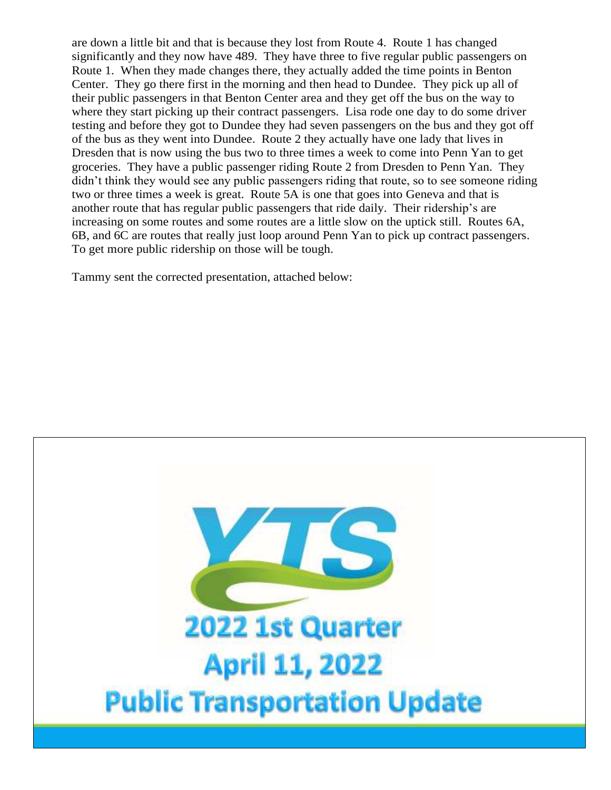are down a little bit and that is because they lost from Route 4. Route 1 has changed significantly and they now have 489. They have three to five regular public passengers on Route 1. When they made changes there, they actually added the time points in Benton Center. They go there first in the morning and then head to Dundee. They pick up all of their public passengers in that Benton Center area and they get off the bus on the way to where they start picking up their contract passengers. Lisa rode one day to do some driver testing and before they got to Dundee they had seven passengers on the bus and they got off of the bus as they went into Dundee. Route 2 they actually have one lady that lives in Dresden that is now using the bus two to three times a week to come into Penn Yan to get groceries. They have a public passenger riding Route 2 from Dresden to Penn Yan. They didn't think they would see any public passengers riding that route, so to see someone riding two or three times a week is great. Route 5A is one that goes into Geneva and that is another route that has regular public passengers that ride daily. Their ridership's are increasing on some routes and some routes are a little slow on the uptick still. Routes 6A, 6B, and 6C are routes that really just loop around Penn Yan to pick up contract passengers. To get more public ridership on those will be tough.

Tammy sent the corrected presentation, attached below:

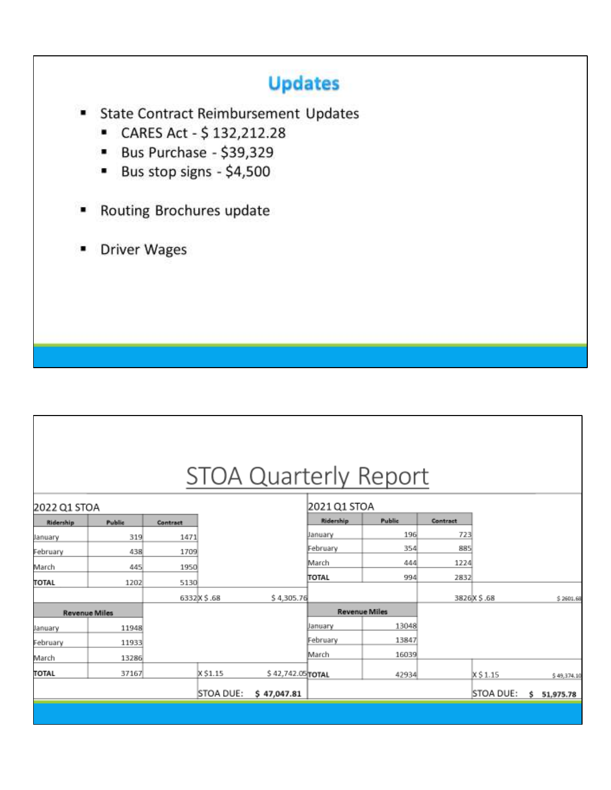## **Updates**

- **State Contract Reimbursement Updates** ٠
	- CARES Act \$132,212.28
	- **Bus Purchase \$39,329**
	- Bus stop signs \$4,500 ۰
- Routing Brochures update ۰
- **Driver Wages** ۰

## **STOA Quarterly Report**

| 2022 Q1 STOA |                      |          |             |                   | 2021 Q1 STOA |                      |          |             |                 |
|--------------|----------------------|----------|-------------|-------------------|--------------|----------------------|----------|-------------|-----------------|
| Ridership    | Public               | Contract |             |                   | Ridership    | Public               | Contract |             |                 |
| January      | 319                  | 1471     |             |                   | January      | 196                  | 723      |             |                 |
| February     | 438                  | 1709     |             |                   | February     | 354                  | 885      |             |                 |
| March        | 445                  | 1950     |             |                   | March        | 444                  | 1224     |             |                 |
| <b>TOTAL</b> | 1202                 | 5130     |             |                   | <b>TOTAL</b> | 994                  | 2832     |             |                 |
|              |                      |          | 6332X \$.68 | \$4,305.76        |              |                      |          | 3826X \$.68 | \$2601.68       |
|              | <b>Revenue Miles</b> |          |             |                   |              | <b>Revenue Miles</b> |          |             |                 |
| January      | 11948                |          |             |                   | January      | 13048                |          |             |                 |
| February     | 11933                |          |             |                   | February     | 13847                |          |             |                 |
| March        | 13286                |          |             |                   | March        | 16039                |          |             |                 |
| <b>TOTAL</b> | 37167                |          | X \$1.15    | \$42,742.05 TOTAL |              | 42934                |          | $X$ \$1.15  | \$49,374.10     |
|              |                      |          | STOA DUE:   | \$47,047.81       |              |                      |          | STOA DUE:   | Ś.<br>51,975.78 |
|              |                      |          |             |                   |              |                      |          |             |                 |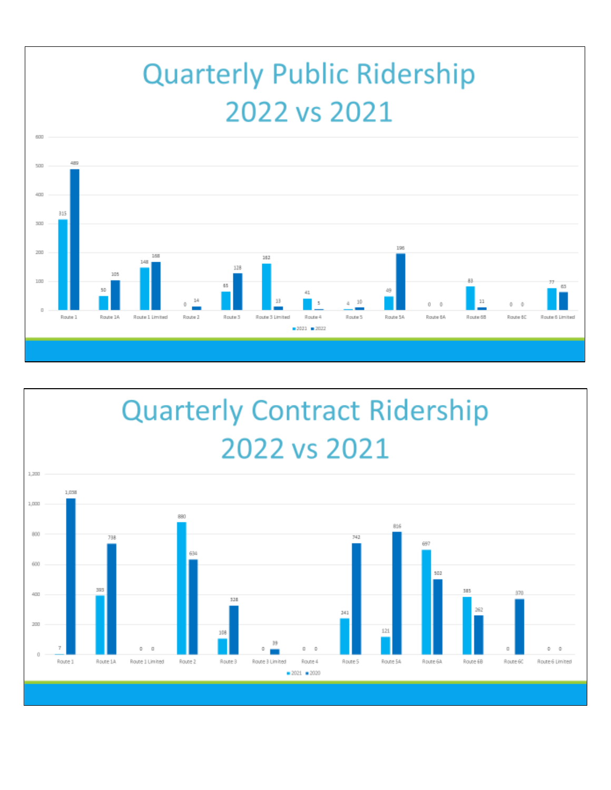# **Quarterly Public Ridership** 2022 vs 2021



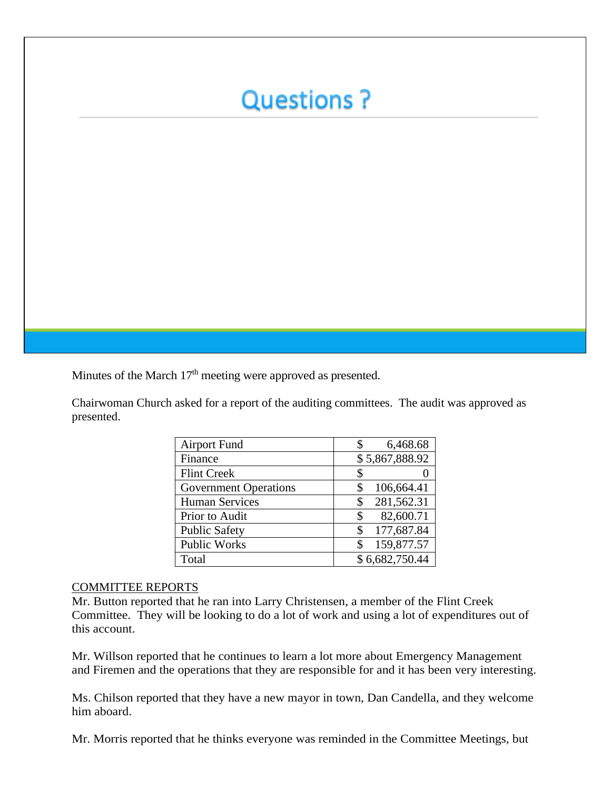## **Questions?**

Minutes of the March  $17<sup>th</sup>$  meeting were approved as presented.

Chairwoman Church asked for a report of the auditing committees. The audit was approved as presented.

| <b>Airport Fund</b>          | 6,468.68         |
|------------------------------|------------------|
| Finance                      | \$5,867,888.92   |
| <b>Flint Creek</b>           |                  |
| <b>Government Operations</b> | 106,664.41       |
| <b>Human Services</b>        | 281,562.31       |
| Prior to Audit               | 82,600.71        |
| <b>Public Safety</b>         | 177,687.84<br>\$ |
| <b>Public Works</b>          | 159,877.57       |
| Total                        | \$6,682,750.44   |

#### COMMITTEE REPORTS

Mr. Button reported that he ran into Larry Christensen, a member of the Flint Creek Committee. They will be looking to do a lot of work and using a lot of expenditures out of this account.

Mr. Willson reported that he continues to learn a lot more about Emergency Management and Firemen and the operations that they are responsible for and it has been very interesting.

Ms. Chilson reported that they have a new mayor in town, Dan Candella, and they welcome him aboard.

Mr. Morris reported that he thinks everyone was reminded in the Committee Meetings, but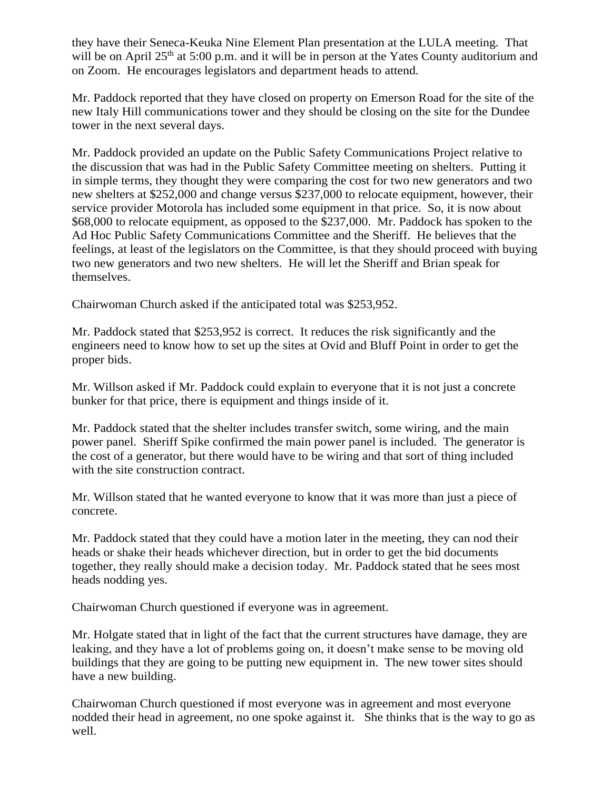they have their Seneca-Keuka Nine Element Plan presentation at the LULA meeting. That will be on April  $25<sup>th</sup>$  at 5:00 p.m. and it will be in person at the Yates County auditorium and on Zoom. He encourages legislators and department heads to attend.

Mr. Paddock reported that they have closed on property on Emerson Road for the site of the new Italy Hill communications tower and they should be closing on the site for the Dundee tower in the next several days.

Mr. Paddock provided an update on the Public Safety Communications Project relative to the discussion that was had in the Public Safety Committee meeting on shelters. Putting it in simple terms, they thought they were comparing the cost for two new generators and two new shelters at \$252,000 and change versus \$237,000 to relocate equipment, however, their service provider Motorola has included some equipment in that price. So, it is now about \$68,000 to relocate equipment, as opposed to the \$237,000. Mr. Paddock has spoken to the Ad Hoc Public Safety Communications Committee and the Sheriff. He believes that the feelings, at least of the legislators on the Committee, is that they should proceed with buying two new generators and two new shelters. He will let the Sheriff and Brian speak for themselves.

Chairwoman Church asked if the anticipated total was \$253,952.

Mr. Paddock stated that \$253,952 is correct. It reduces the risk significantly and the engineers need to know how to set up the sites at Ovid and Bluff Point in order to get the proper bids.

Mr. Willson asked if Mr. Paddock could explain to everyone that it is not just a concrete bunker for that price, there is equipment and things inside of it.

Mr. Paddock stated that the shelter includes transfer switch, some wiring, and the main power panel. Sheriff Spike confirmed the main power panel is included. The generator is the cost of a generator, but there would have to be wiring and that sort of thing included with the site construction contract.

Mr. Willson stated that he wanted everyone to know that it was more than just a piece of concrete.

Mr. Paddock stated that they could have a motion later in the meeting, they can nod their heads or shake their heads whichever direction, but in order to get the bid documents together, they really should make a decision today. Mr. Paddock stated that he sees most heads nodding yes.

Chairwoman Church questioned if everyone was in agreement.

Mr. Holgate stated that in light of the fact that the current structures have damage, they are leaking, and they have a lot of problems going on, it doesn't make sense to be moving old buildings that they are going to be putting new equipment in. The new tower sites should have a new building.

Chairwoman Church questioned if most everyone was in agreement and most everyone nodded their head in agreement, no one spoke against it. She thinks that is the way to go as well.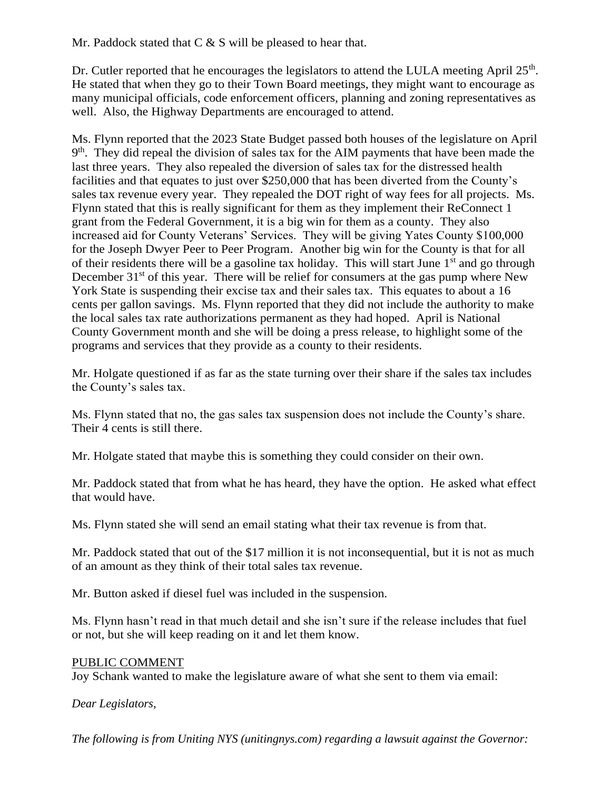Mr. Paddock stated that  $C & S$  will be pleased to hear that.

Dr. Cutler reported that he encourages the legislators to attend the LULA meeting April 25<sup>th</sup>. He stated that when they go to their Town Board meetings, they might want to encourage as many municipal officials, code enforcement officers, planning and zoning representatives as well. Also, the Highway Departments are encouraged to attend.

Ms. Flynn reported that the 2023 State Budget passed both houses of the legislature on April 9<sup>th</sup>. They did repeal the division of sales tax for the AIM payments that have been made the last three years. They also repealed the diversion of sales tax for the distressed health facilities and that equates to just over \$250,000 that has been diverted from the County's sales tax revenue every year. They repealed the DOT right of way fees for all projects. Ms. Flynn stated that this is really significant for them as they implement their ReConnect 1 grant from the Federal Government, it is a big win for them as a county. They also increased aid for County Veterans' Services. They will be giving Yates County \$100,000 for the Joseph Dwyer Peer to Peer Program. Another big win for the County is that for all of their residents there will be a gasoline tax holiday. This will start June  $1<sup>st</sup>$  and go through December  $31<sup>st</sup>$  of this year. There will be relief for consumers at the gas pump where New York State is suspending their excise tax and their sales tax. This equates to about a 16 cents per gallon savings. Ms. Flynn reported that they did not include the authority to make the local sales tax rate authorizations permanent as they had hoped. April is National County Government month and she will be doing a press release, to highlight some of the programs and services that they provide as a county to their residents.

Mr. Holgate questioned if as far as the state turning over their share if the sales tax includes the County's sales tax.

Ms. Flynn stated that no, the gas sales tax suspension does not include the County's share. Their 4 cents is still there.

Mr. Holgate stated that maybe this is something they could consider on their own.

Mr. Paddock stated that from what he has heard, they have the option. He asked what effect that would have.

Ms. Flynn stated she will send an email stating what their tax revenue is from that.

Mr. Paddock stated that out of the \$17 million it is not inconsequential, but it is not as much of an amount as they think of their total sales tax revenue.

Mr. Button asked if diesel fuel was included in the suspension.

Ms. Flynn hasn't read in that much detail and she isn't sure if the release includes that fuel or not, but she will keep reading on it and let them know.

#### PUBLIC COMMENT

Joy Schank wanted to make the legislature aware of what she sent to them via email:

*Dear Legislators,*

*The following is from Uniting NYS (unitingnys.com) regarding a lawsuit against the Governor:*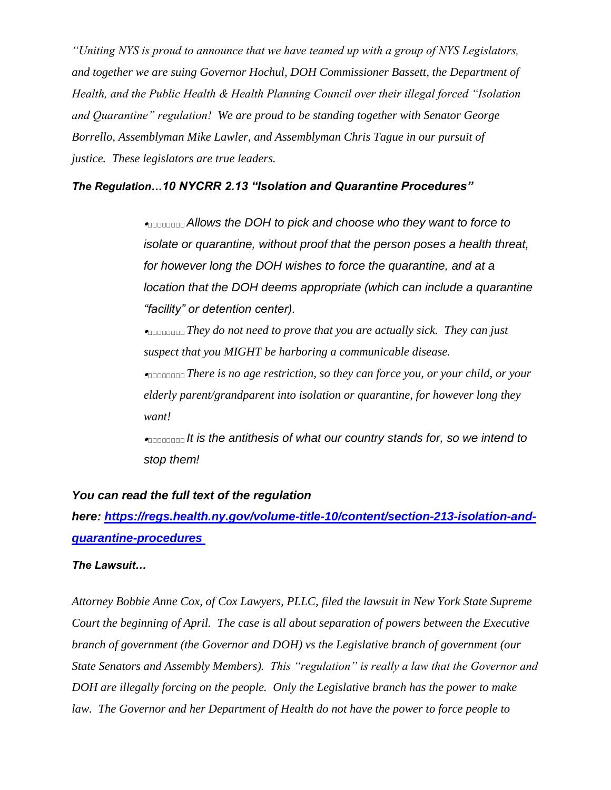*"Uniting NYS is proud to announce that we have teamed up with a group of NYS Legislators, and together we are suing Governor Hochul, DOH Commissioner Bassett, the Department of Health, and the Public Health & Health Planning Council over their illegal forced "Isolation and Quarantine" regulation! We are proud to be standing together with Senator George Borrello, Assemblyman Mike Lawler, and Assemblyman Chris Tague in our pursuit of justice. These legislators are true leaders.*

#### *The Regulation…10 NYCRR 2.13 "Isolation and Quarantine Procedures"*

 *Allows the DOH to pick and choose who they want to force to isolate or quarantine, without proof that the person poses a health threat, for however long the DOH wishes to force the quarantine, and at a location that the DOH deems appropriate (which can include a quarantine "facility" or detention center).*

 *They do not need to prove that you are actually sick. They can just suspect that you MIGHT be harboring a communicable disease.*

 *There is no age restriction, so they can force you, or your child, or your elderly parent/grandparent into isolation or quarantine, for however long they want!*

 *It is the antithesis of what our country stands for, so we intend to stop them!*

#### *You can read the full text of the regulation*

*here: [https://regs.health.ny.gov/volume-title-10/content/section-213-isolation-and](https://regs.health.ny.gov/volume-title-10/content/section-213-isolation-and-quarantine-procedures)[quarantine-procedures](https://regs.health.ny.gov/volume-title-10/content/section-213-isolation-and-quarantine-procedures)*

#### *The Lawsuit…*

*Attorney Bobbie Anne Cox, of Cox Lawyers, PLLC, filed the lawsuit in New York State Supreme Court the beginning of April. The case is all about separation of powers between the Executive branch of government (the Governor and DOH) vs the Legislative branch of government (our State Senators and Assembly Members). This "regulation" is really a law that the Governor and DOH are illegally forcing on the people. Only the Legislative branch has the power to make law. The Governor and her Department of Health do not have the power to force people to*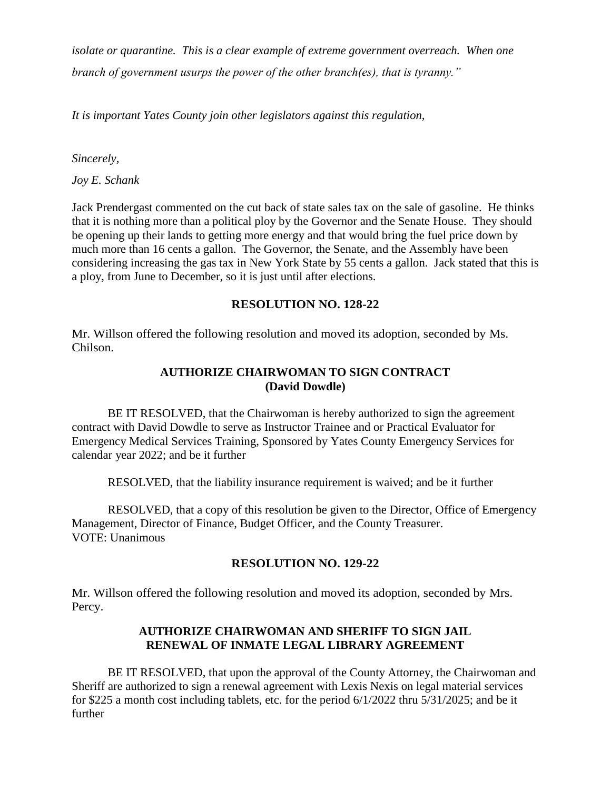*isolate or quarantine. This is a clear example of extreme government overreach. When one branch of government usurps the power of the other branch(es), that is tyranny."*

*It is important Yates County join other legislators against this regulation,*

#### *Sincerely,*

*Joy E. Schank*

Jack Prendergast commented on the cut back of state sales tax on the sale of gasoline. He thinks that it is nothing more than a political ploy by the Governor and the Senate House. They should be opening up their lands to getting more energy and that would bring the fuel price down by much more than 16 cents a gallon. The Governor, the Senate, and the Assembly have been considering increasing the gas tax in New York State by 55 cents a gallon. Jack stated that this is a ploy, from June to December, so it is just until after elections.

#### **RESOLUTION NO. 128-22**

Mr. Willson offered the following resolution and moved its adoption, seconded by Ms. Chilson.

## **AUTHORIZE CHAIRWOMAN TO SIGN CONTRACT (David Dowdle)**

BE IT RESOLVED, that the Chairwoman is hereby authorized to sign the agreement contract with David Dowdle to serve as Instructor Trainee and or Practical Evaluator for Emergency Medical Services Training, Sponsored by Yates County Emergency Services for calendar year 2022; and be it further

RESOLVED, that the liability insurance requirement is waived; and be it further

RESOLVED, that a copy of this resolution be given to the Director, Office of Emergency Management, Director of Finance, Budget Officer, and the County Treasurer. VOTE: Unanimous

#### **RESOLUTION NO. 129-22**

Mr. Willson offered the following resolution and moved its adoption, seconded by Mrs. Percy.

## **AUTHORIZE CHAIRWOMAN AND SHERIFF TO SIGN JAIL RENEWAL OF INMATE LEGAL LIBRARY AGREEMENT**

BE IT RESOLVED, that upon the approval of the County Attorney, the Chairwoman and Sheriff are authorized to sign a renewal agreement with Lexis Nexis on legal material services for \$225 a month cost including tablets, etc. for the period 6/1/2022 thru 5/31/2025; and be it further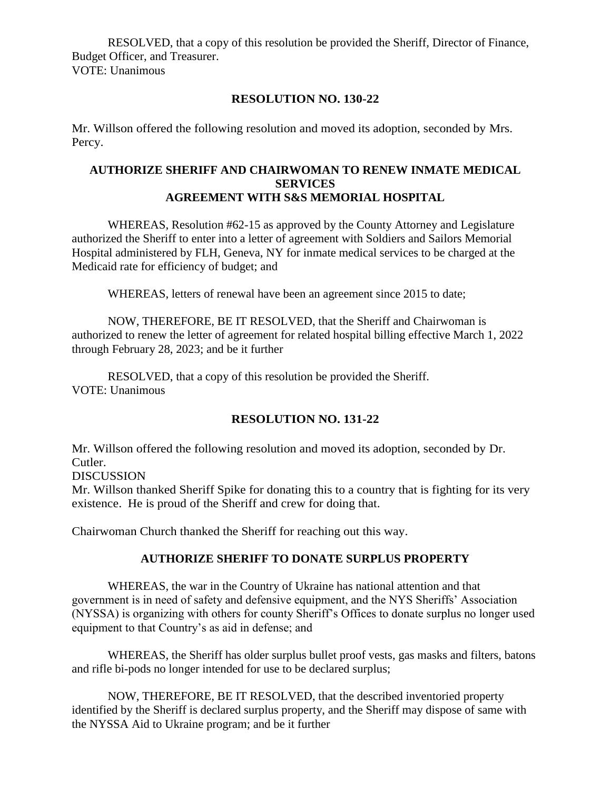RESOLVED, that a copy of this resolution be provided the Sheriff, Director of Finance, Budget Officer, and Treasurer. VOTE: Unanimous

**RESOLUTION NO. 130-22**

Mr. Willson offered the following resolution and moved its adoption, seconded by Mrs. Percy.

## **AUTHORIZE SHERIFF AND CHAIRWOMAN TO RENEW INMATE MEDICAL SERVICES AGREEMENT WITH S&S MEMORIAL HOSPITAL**

WHEREAS, Resolution #62-15 as approved by the County Attorney and Legislature authorized the Sheriff to enter into a letter of agreement with Soldiers and Sailors Memorial Hospital administered by FLH, Geneva, NY for inmate medical services to be charged at the Medicaid rate for efficiency of budget; and

WHEREAS, letters of renewal have been an agreement since 2015 to date;

NOW, THEREFORE, BE IT RESOLVED, that the Sheriff and Chairwoman is authorized to renew the letter of agreement for related hospital billing effective March 1, 2022 through February 28, 2023; and be it further

RESOLVED, that a copy of this resolution be provided the Sheriff. VOTE: Unanimous

## **RESOLUTION NO. 131-22**

Mr. Willson offered the following resolution and moved its adoption, seconded by Dr. Cutler.

**DISCUSSION** 

Mr. Willson thanked Sheriff Spike for donating this to a country that is fighting for its very existence. He is proud of the Sheriff and crew for doing that.

Chairwoman Church thanked the Sheriff for reaching out this way.

#### **AUTHORIZE SHERIFF TO DONATE SURPLUS PROPERTY**

WHEREAS, the war in the Country of Ukraine has national attention and that government is in need of safety and defensive equipment, and the NYS Sheriffs' Association (NYSSA) is organizing with others for county Sheriff's Offices to donate surplus no longer used equipment to that Country's as aid in defense; and

WHEREAS, the Sheriff has older surplus bullet proof vests, gas masks and filters, batons and rifle bi-pods no longer intended for use to be declared surplus;

NOW, THEREFORE, BE IT RESOLVED, that the described inventoried property identified by the Sheriff is declared surplus property, and the Sheriff may dispose of same with the NYSSA Aid to Ukraine program; and be it further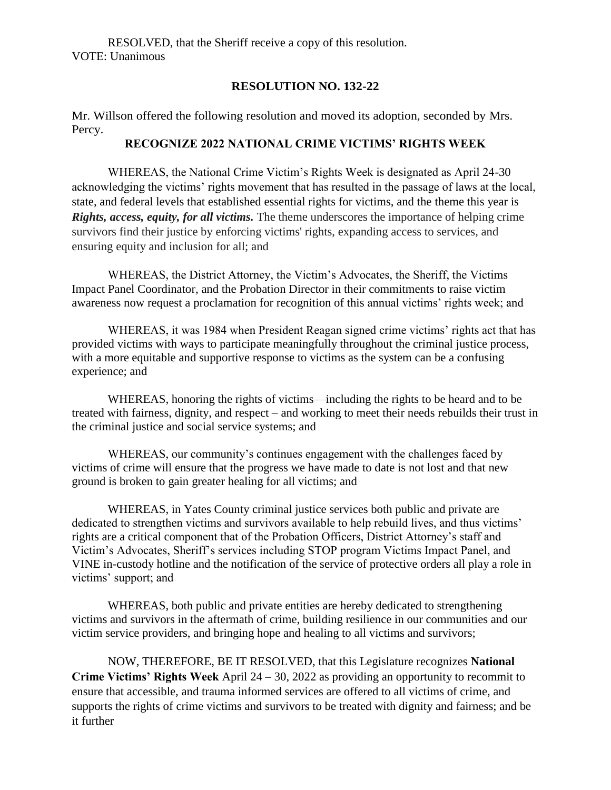RESOLVED, that the Sheriff receive a copy of this resolution. VOTE: Unanimous

#### **RESOLUTION NO. 132-22**

Mr. Willson offered the following resolution and moved its adoption, seconded by Mrs. Percy.

## **RECOGNIZE 2022 NATIONAL CRIME VICTIMS' RIGHTS WEEK**

WHEREAS, the National Crime Victim's Rights Week is designated as April 24-30 acknowledging the victims' rights movement that has resulted in the passage of laws at the local, state, and federal levels that established essential rights for victims, and the theme this year is *Rights, access, equity, for all victims.* The theme underscores the importance of helping crime survivors find their justice by enforcing victims' rights, expanding access to services, and ensuring equity and inclusion for all; and

WHEREAS, the District Attorney, the Victim's Advocates, the Sheriff, the Victims Impact Panel Coordinator, and the Probation Director in their commitments to raise victim awareness now request a proclamation for recognition of this annual victims' rights week; and

WHEREAS, it was 1984 when President Reagan signed crime victims' rights act that has provided victims with ways to participate meaningfully throughout the criminal justice process, with a more equitable and supportive response to victims as the system can be a confusing experience; and

WHEREAS, honoring the rights of victims—including the rights to be heard and to be treated with fairness, dignity, and respect – and working to meet their needs rebuilds their trust in the criminal justice and social service systems; and

WHEREAS, our community's continues engagement with the challenges faced by victims of crime will ensure that the progress we have made to date is not lost and that new ground is broken to gain greater healing for all victims; and

WHEREAS, in Yates County criminal justice services both public and private are dedicated to strengthen victims and survivors available to help rebuild lives, and thus victims' rights are a critical component that of the Probation Officers, District Attorney's staff and Victim's Advocates, Sheriff's services including STOP program Victims Impact Panel, and VINE in-custody hotline and the notification of the service of protective orders all play a role in victims' support; and

WHEREAS, both public and private entities are hereby dedicated to strengthening victims and survivors in the aftermath of crime, building resilience in our communities and our victim service providers, and bringing hope and healing to all victims and survivors;

NOW, THEREFORE, BE IT RESOLVED, that this Legislature recognizes **National Crime Victims' Rights Week** April 24 – 30, 2022 as providing an opportunity to recommit to ensure that accessible, and trauma informed services are offered to all victims of crime, and supports the rights of crime victims and survivors to be treated with dignity and fairness; and be it further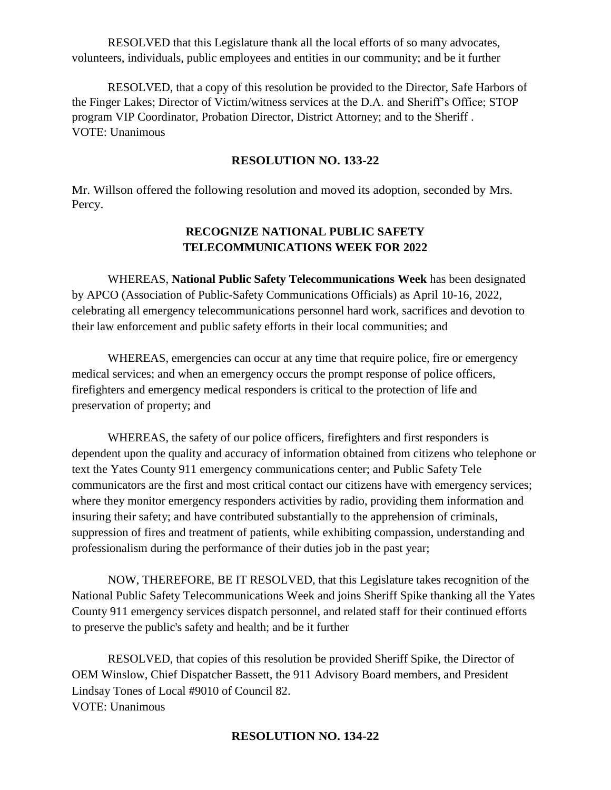RESOLVED that this Legislature thank all the local efforts of so many advocates, volunteers, individuals, public employees and entities in our community; and be it further

RESOLVED, that a copy of this resolution be provided to the Director, Safe Harbors of the Finger Lakes; Director of Victim/witness services at the D.A. and Sheriff's Office; STOP program VIP Coordinator, Probation Director, District Attorney; and to the Sheriff . VOTE: Unanimous

#### **RESOLUTION NO. 133-22**

Mr. Willson offered the following resolution and moved its adoption, seconded by Mrs. Percy.

## **RECOGNIZE NATIONAL PUBLIC SAFETY TELECOMMUNICATIONS WEEK FOR 2022**

WHEREAS, **National Public Safety Telecommunications Week** has been designated by APCO (Association of Public-Safety Communications Officials) as April 10-16, 2022, celebrating all emergency telecommunications personnel hard work, sacrifices and devotion to their law enforcement and public safety efforts in their local communities; and

WHEREAS, emergencies can occur at any time that require police, fire or emergency medical services; and when an emergency occurs the prompt response of police officers, firefighters and emergency medical responders is critical to the protection of life and preservation of property; and

WHEREAS, the safety of our police officers, firefighters and first responders is dependent upon the quality and accuracy of information obtained from citizens who telephone or text the Yates County 911 emergency communications center; and Public Safety Tele communicators are the first and most critical contact our citizens have with emergency services; where they monitor emergency responders activities by radio, providing them information and insuring their safety; and have contributed substantially to the apprehension of criminals, suppression of fires and treatment of patients, while exhibiting compassion, understanding and professionalism during the performance of their duties job in the past year;

NOW, THEREFORE, BE IT RESOLVED, that this Legislature takes recognition of the National Public Safety Telecommunications Week and joins Sheriff Spike thanking all the Yates County 911 emergency services dispatch personnel, and related staff for their continued efforts to preserve the public's safety and health; and be it further

RESOLVED, that copies of this resolution be provided Sheriff Spike, the Director of OEM Winslow, Chief Dispatcher Bassett, the 911 Advisory Board members, and President Lindsay Tones of Local #9010 of Council 82. VOTE: Unanimous

#### **RESOLUTION NO. 134-22**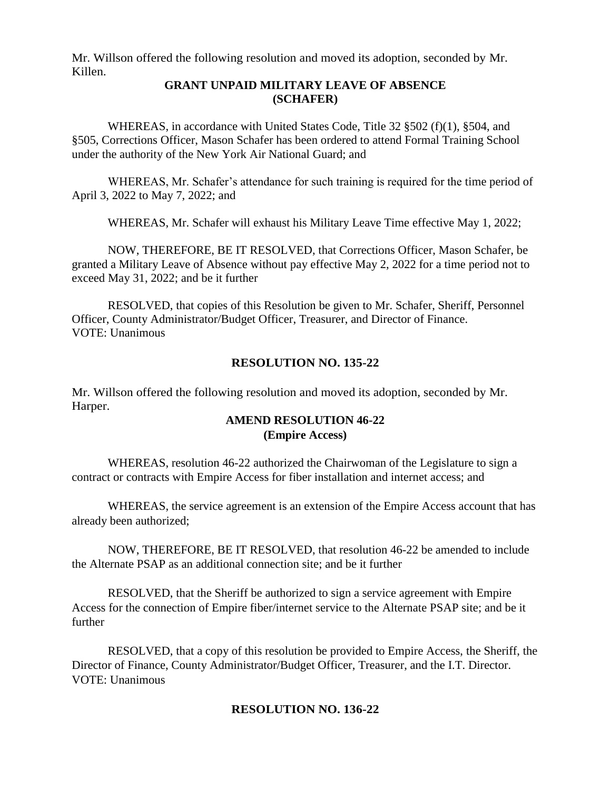Mr. Willson offered the following resolution and moved its adoption, seconded by Mr. Killen.

#### **GRANT UNPAID MILITARY LEAVE OF ABSENCE (SCHAFER)**

WHEREAS, in accordance with United States Code, Title 32 §502 (f)(1), §504, and §505, Corrections Officer, Mason Schafer has been ordered to attend Formal Training School under the authority of the New York Air National Guard; and

WHEREAS, Mr. Schafer's attendance for such training is required for the time period of April 3, 2022 to May 7, 2022; and

WHEREAS, Mr. Schafer will exhaust his Military Leave Time effective May 1, 2022;

NOW, THEREFORE, BE IT RESOLVED, that Corrections Officer, Mason Schafer, be granted a Military Leave of Absence without pay effective May 2, 2022 for a time period not to exceed May 31, 2022; and be it further

RESOLVED, that copies of this Resolution be given to Mr. Schafer, Sheriff, Personnel Officer, County Administrator/Budget Officer, Treasurer, and Director of Finance. VOTE: Unanimous

## **RESOLUTION NO. 135-22**

Mr. Willson offered the following resolution and moved its adoption, seconded by Mr. Harper.

## **AMEND RESOLUTION 46-22 (Empire Access)**

WHEREAS, resolution 46-22 authorized the Chairwoman of the Legislature to sign a contract or contracts with Empire Access for fiber installation and internet access; and

WHEREAS, the service agreement is an extension of the Empire Access account that has already been authorized;

NOW, THEREFORE, BE IT RESOLVED, that resolution 46-22 be amended to include the Alternate PSAP as an additional connection site; and be it further

RESOLVED, that the Sheriff be authorized to sign a service agreement with Empire Access for the connection of Empire fiber/internet service to the Alternate PSAP site; and be it further

RESOLVED, that a copy of this resolution be provided to Empire Access, the Sheriff, the Director of Finance, County Administrator/Budget Officer, Treasurer, and the I.T. Director. VOTE: Unanimous

## **RESOLUTION NO. 136-22**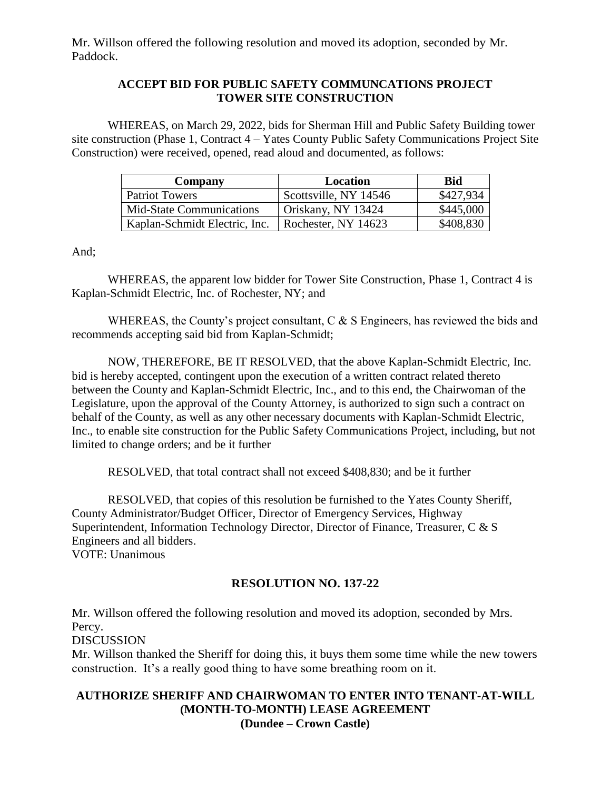Mr. Willson offered the following resolution and moved its adoption, seconded by Mr. Paddock.

## **ACCEPT BID FOR PUBLIC SAFETY COMMUNCATIONS PROJECT TOWER SITE CONSTRUCTION**

WHEREAS, on March 29, 2022, bids for Sherman Hill and Public Safety Building tower site construction (Phase 1, Contract 4 – Yates County Public Safety Communications Project Site Construction) were received, opened, read aloud and documented, as follows:

| Company                       | Location              | Bid       |
|-------------------------------|-----------------------|-----------|
| <b>Patriot Towers</b>         | Scottsville, NY 14546 | \$427,934 |
| Mid-State Communications      | Oriskany, NY 13424    | \$445,000 |
| Kaplan-Schmidt Electric, Inc. | Rochester, NY 14623   | \$408,830 |

And;

WHEREAS, the apparent low bidder for Tower Site Construction, Phase 1, Contract 4 is Kaplan-Schmidt Electric, Inc. of Rochester, NY; and

WHEREAS, the County's project consultant, C & S Engineers, has reviewed the bids and recommends accepting said bid from Kaplan-Schmidt;

NOW, THEREFORE, BE IT RESOLVED, that the above Kaplan-Schmidt Electric, Inc. bid is hereby accepted, contingent upon the execution of a written contract related thereto between the County and Kaplan-Schmidt Electric, Inc., and to this end, the Chairwoman of the Legislature, upon the approval of the County Attorney, is authorized to sign such a contract on behalf of the County, as well as any other necessary documents with Kaplan-Schmidt Electric, Inc., to enable site construction for the Public Safety Communications Project, including, but not limited to change orders; and be it further

RESOLVED, that total contract shall not exceed \$408,830; and be it further

RESOLVED, that copies of this resolution be furnished to the Yates County Sheriff, County Administrator/Budget Officer, Director of Emergency Services, Highway Superintendent, Information Technology Director, Director of Finance, Treasurer, C & S Engineers and all bidders. VOTE: Unanimous

## **RESOLUTION NO. 137-22**

Mr. Willson offered the following resolution and moved its adoption, seconded by Mrs. Percy.

DISCUSSION

Mr. Willson thanked the Sheriff for doing this, it buys them some time while the new towers construction. It's a really good thing to have some breathing room on it.

## **AUTHORIZE SHERIFF AND CHAIRWOMAN TO ENTER INTO TENANT-AT-WILL (MONTH-TO-MONTH) LEASE AGREEMENT (Dundee – Crown Castle)**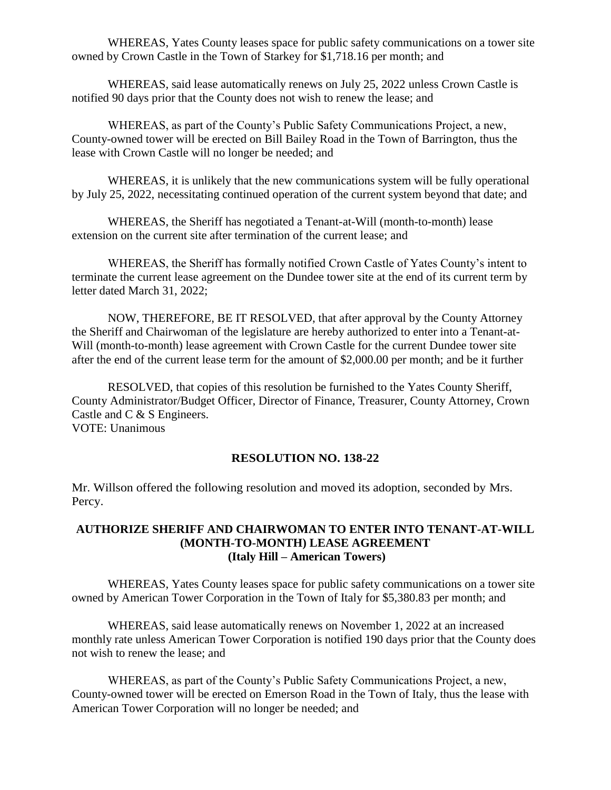WHEREAS, Yates County leases space for public safety communications on a tower site owned by Crown Castle in the Town of Starkey for \$1,718.16 per month; and

WHEREAS, said lease automatically renews on July 25, 2022 unless Crown Castle is notified 90 days prior that the County does not wish to renew the lease; and

WHEREAS, as part of the County's Public Safety Communications Project, a new, County-owned tower will be erected on Bill Bailey Road in the Town of Barrington, thus the lease with Crown Castle will no longer be needed; and

WHEREAS, it is unlikely that the new communications system will be fully operational by July 25, 2022, necessitating continued operation of the current system beyond that date; and

WHEREAS, the Sheriff has negotiated a Tenant-at-Will (month-to-month) lease extension on the current site after termination of the current lease; and

WHEREAS, the Sheriff has formally notified Crown Castle of Yates County's intent to terminate the current lease agreement on the Dundee tower site at the end of its current term by letter dated March 31, 2022;

NOW, THEREFORE, BE IT RESOLVED, that after approval by the County Attorney the Sheriff and Chairwoman of the legislature are hereby authorized to enter into a Tenant-at-Will (month-to-month) lease agreement with Crown Castle for the current Dundee tower site after the end of the current lease term for the amount of \$2,000.00 per month; and be it further

RESOLVED, that copies of this resolution be furnished to the Yates County Sheriff, County Administrator/Budget Officer, Director of Finance, Treasurer, County Attorney, Crown Castle and C & S Engineers. VOTE: Unanimous

#### **RESOLUTION NO. 138-22**

Mr. Willson offered the following resolution and moved its adoption, seconded by Mrs. Percy.

## **AUTHORIZE SHERIFF AND CHAIRWOMAN TO ENTER INTO TENANT-AT-WILL (MONTH-TO-MONTH) LEASE AGREEMENT (Italy Hill – American Towers)**

WHEREAS, Yates County leases space for public safety communications on a tower site owned by American Tower Corporation in the Town of Italy for \$5,380.83 per month; and

WHEREAS, said lease automatically renews on November 1, 2022 at an increased monthly rate unless American Tower Corporation is notified 190 days prior that the County does not wish to renew the lease; and

WHEREAS, as part of the County's Public Safety Communications Project, a new, County-owned tower will be erected on Emerson Road in the Town of Italy, thus the lease with American Tower Corporation will no longer be needed; and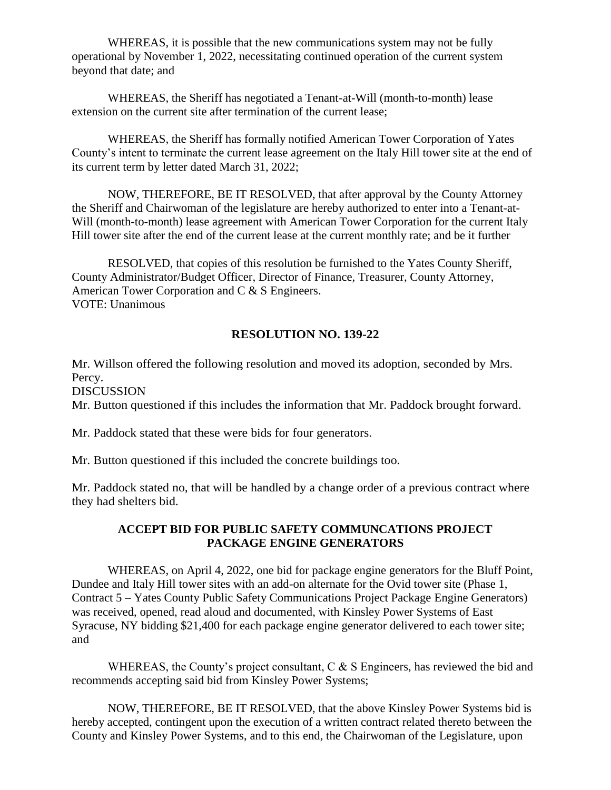WHEREAS, it is possible that the new communications system may not be fully operational by November 1, 2022, necessitating continued operation of the current system beyond that date; and

WHEREAS, the Sheriff has negotiated a Tenant-at-Will (month-to-month) lease extension on the current site after termination of the current lease;

WHEREAS, the Sheriff has formally notified American Tower Corporation of Yates County's intent to terminate the current lease agreement on the Italy Hill tower site at the end of its current term by letter dated March 31, 2022;

NOW, THEREFORE, BE IT RESOLVED, that after approval by the County Attorney the Sheriff and Chairwoman of the legislature are hereby authorized to enter into a Tenant-at-Will (month-to-month) lease agreement with American Tower Corporation for the current Italy Hill tower site after the end of the current lease at the current monthly rate; and be it further

RESOLVED, that copies of this resolution be furnished to the Yates County Sheriff, County Administrator/Budget Officer, Director of Finance, Treasurer, County Attorney, American Tower Corporation and C & S Engineers. VOTE: Unanimous

## **RESOLUTION NO. 139-22**

Mr. Willson offered the following resolution and moved its adoption, seconded by Mrs. Percy. DISCUSSION Mr. Button questioned if this includes the information that Mr. Paddock brought forward.

Mr. Paddock stated that these were bids for four generators.

Mr. Button questioned if this included the concrete buildings too.

Mr. Paddock stated no, that will be handled by a change order of a previous contract where they had shelters bid.

## **ACCEPT BID FOR PUBLIC SAFETY COMMUNCATIONS PROJECT PACKAGE ENGINE GENERATORS**

WHEREAS, on April 4, 2022, one bid for package engine generators for the Bluff Point, Dundee and Italy Hill tower sites with an add-on alternate for the Ovid tower site (Phase 1, Contract 5 – Yates County Public Safety Communications Project Package Engine Generators) was received, opened, read aloud and documented, with Kinsley Power Systems of East Syracuse, NY bidding \$21,400 for each package engine generator delivered to each tower site; and

WHEREAS, the County's project consultant,  $C \& S$  Engineers, has reviewed the bid and recommends accepting said bid from Kinsley Power Systems;

NOW, THEREFORE, BE IT RESOLVED, that the above Kinsley Power Systems bid is hereby accepted, contingent upon the execution of a written contract related thereto between the County and Kinsley Power Systems, and to this end, the Chairwoman of the Legislature, upon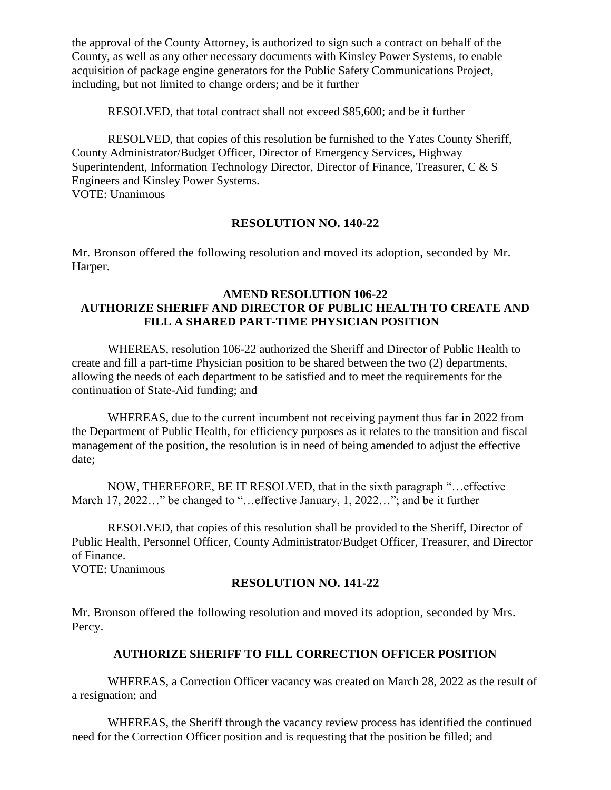the approval of the County Attorney, is authorized to sign such a contract on behalf of the County, as well as any other necessary documents with Kinsley Power Systems, to enable acquisition of package engine generators for the Public Safety Communications Project, including, but not limited to change orders; and be it further

RESOLVED, that total contract shall not exceed \$85,600; and be it further

RESOLVED, that copies of this resolution be furnished to the Yates County Sheriff, County Administrator/Budget Officer, Director of Emergency Services, Highway Superintendent, Information Technology Director, Director of Finance, Treasurer, C & S Engineers and Kinsley Power Systems. VOTE: Unanimous

## **RESOLUTION NO. 140-22**

Mr. Bronson offered the following resolution and moved its adoption, seconded by Mr. Harper.

## **AMEND RESOLUTION 106-22 AUTHORIZE SHERIFF AND DIRECTOR OF PUBLIC HEALTH TO CREATE AND FILL A SHARED PART-TIME PHYSICIAN POSITION**

WHEREAS, resolution 106-22 authorized the Sheriff and Director of Public Health to create and fill a part-time Physician position to be shared between the two (2) departments, allowing the needs of each department to be satisfied and to meet the requirements for the continuation of State-Aid funding; and

WHEREAS, due to the current incumbent not receiving payment thus far in 2022 from the Department of Public Health, for efficiency purposes as it relates to the transition and fiscal management of the position, the resolution is in need of being amended to adjust the effective date;

NOW, THEREFORE, BE IT RESOLVED, that in the sixth paragraph "…effective March 17, 2022…" be changed to "…effective January, 1, 2022…"; and be it further

RESOLVED, that copies of this resolution shall be provided to the Sheriff, Director of Public Health, Personnel Officer, County Administrator/Budget Officer, Treasurer, and Director of Finance.

VOTE: Unanimous

## **RESOLUTION NO. 141-22**

Mr. Bronson offered the following resolution and moved its adoption, seconded by Mrs. Percy.

## **AUTHORIZE SHERIFF TO FILL CORRECTION OFFICER POSITION**

WHEREAS, a Correction Officer vacancy was created on March 28, 2022 as the result of a resignation; and

WHEREAS, the Sheriff through the vacancy review process has identified the continued need for the Correction Officer position and is requesting that the position be filled; and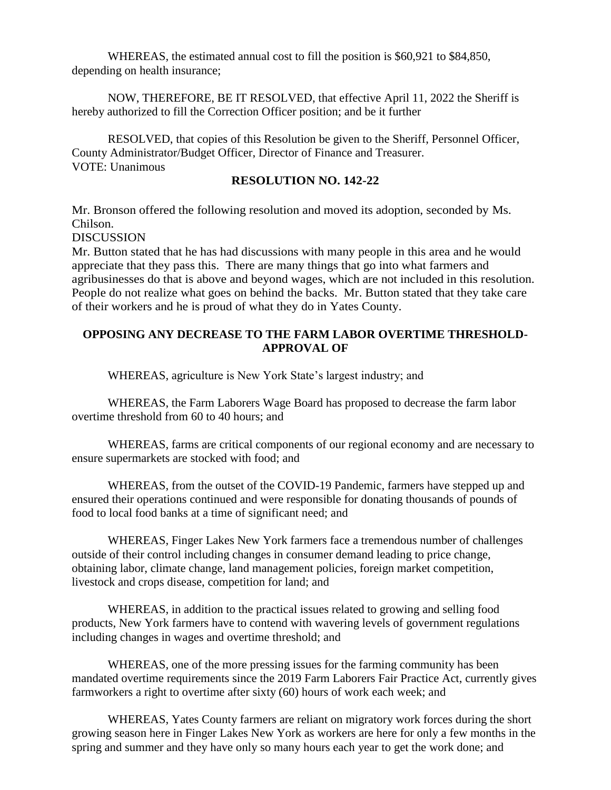WHEREAS, the estimated annual cost to fill the position is \$60,921 to \$84,850, depending on health insurance;

NOW, THEREFORE, BE IT RESOLVED, that effective April 11, 2022 the Sheriff is hereby authorized to fill the Correction Officer position; and be it further

RESOLVED, that copies of this Resolution be given to the Sheriff, Personnel Officer, County Administrator/Budget Officer, Director of Finance and Treasurer. VOTE: Unanimous

#### **RESOLUTION NO. 142-22**

Mr. Bronson offered the following resolution and moved its adoption, seconded by Ms. Chilson.

**DISCUSSION** 

Mr. Button stated that he has had discussions with many people in this area and he would appreciate that they pass this. There are many things that go into what farmers and agribusinesses do that is above and beyond wages, which are not included in this resolution. People do not realize what goes on behind the backs. Mr. Button stated that they take care of their workers and he is proud of what they do in Yates County.

### **OPPOSING ANY DECREASE TO THE FARM LABOR OVERTIME THRESHOLD-APPROVAL OF**

WHEREAS, agriculture is New York State's largest industry; and

WHEREAS, the Farm Laborers Wage Board has proposed to decrease the farm labor overtime threshold from 60 to 40 hours; and

WHEREAS, farms are critical components of our regional economy and are necessary to ensure supermarkets are stocked with food; and

WHEREAS, from the outset of the COVID-19 Pandemic, farmers have stepped up and ensured their operations continued and were responsible for donating thousands of pounds of food to local food banks at a time of significant need; and

WHEREAS, Finger Lakes New York farmers face a tremendous number of challenges outside of their control including changes in consumer demand leading to price change, obtaining labor, climate change, land management policies, foreign market competition, livestock and crops disease, competition for land; and

WHEREAS, in addition to the practical issues related to growing and selling food products, New York farmers have to contend with wavering levels of government regulations including changes in wages and overtime threshold; and

WHEREAS, one of the more pressing issues for the farming community has been mandated overtime requirements since the 2019 Farm Laborers Fair Practice Act, currently gives farmworkers a right to overtime after sixty (60) hours of work each week; and

WHEREAS, Yates County farmers are reliant on migratory work forces during the short growing season here in Finger Lakes New York as workers are here for only a few months in the spring and summer and they have only so many hours each year to get the work done; and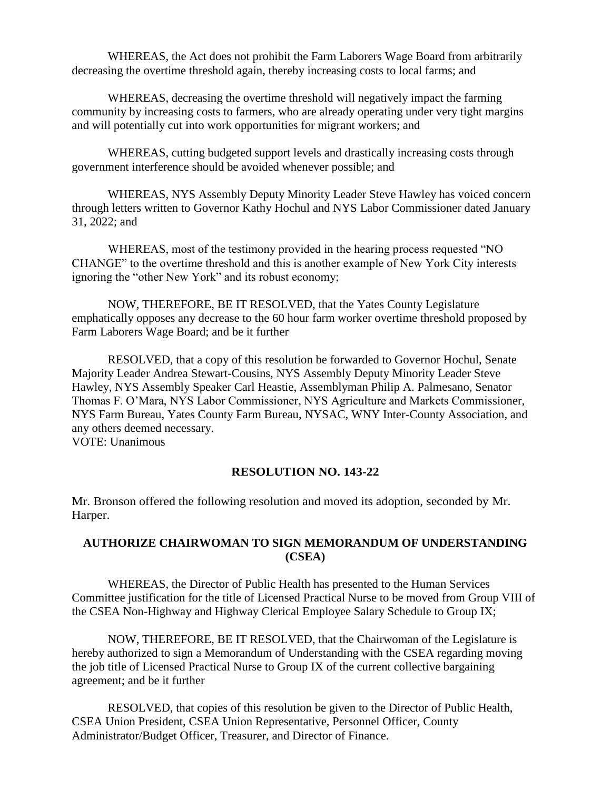WHEREAS, the Act does not prohibit the Farm Laborers Wage Board from arbitrarily decreasing the overtime threshold again, thereby increasing costs to local farms; and

WHEREAS, decreasing the overtime threshold will negatively impact the farming community by increasing costs to farmers, who are already operating under very tight margins and will potentially cut into work opportunities for migrant workers; and

WHEREAS, cutting budgeted support levels and drastically increasing costs through government interference should be avoided whenever possible; and

WHEREAS, NYS Assembly Deputy Minority Leader Steve Hawley has voiced concern through letters written to Governor Kathy Hochul and NYS Labor Commissioner dated January 31, 2022; and

WHEREAS, most of the testimony provided in the hearing process requested "NO CHANGE" to the overtime threshold and this is another example of New York City interests ignoring the "other New York" and its robust economy;

NOW, THEREFORE, BE IT RESOLVED, that the Yates County Legislature emphatically opposes any decrease to the 60 hour farm worker overtime threshold proposed by Farm Laborers Wage Board; and be it further

RESOLVED, that a copy of this resolution be forwarded to Governor Hochul, Senate Majority Leader Andrea Stewart-Cousins, NYS Assembly Deputy Minority Leader Steve Hawley, NYS Assembly Speaker Carl Heastie, Assemblyman Philip A. Palmesano, Senator Thomas F. O'Mara, NYS Labor Commissioner, NYS Agriculture and Markets Commissioner, NYS Farm Bureau, Yates County Farm Bureau, NYSAC, WNY Inter-County Association, and any others deemed necessary. VOTE: Unanimous

**RESOLUTION NO. 143-22**

Mr. Bronson offered the following resolution and moved its adoption, seconded by Mr. Harper.

## **AUTHORIZE CHAIRWOMAN TO SIGN MEMORANDUM OF UNDERSTANDING (CSEA)**

WHEREAS, the Director of Public Health has presented to the Human Services Committee justification for the title of Licensed Practical Nurse to be moved from Group VIII of the CSEA Non-Highway and Highway Clerical Employee Salary Schedule to Group IX;

NOW, THEREFORE, BE IT RESOLVED, that the Chairwoman of the Legislature is hereby authorized to sign a Memorandum of Understanding with the CSEA regarding moving the job title of Licensed Practical Nurse to Group IX of the current collective bargaining agreement; and be it further

RESOLVED, that copies of this resolution be given to the Director of Public Health, CSEA Union President, CSEA Union Representative, Personnel Officer, County Administrator/Budget Officer, Treasurer, and Director of Finance.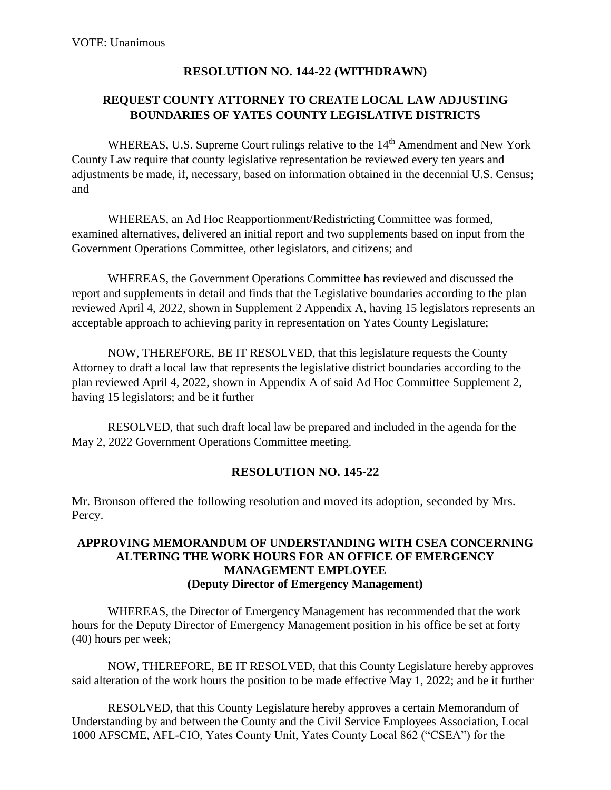## **RESOLUTION NO. 144-22 (WITHDRAWN)**

## **REQUEST COUNTY ATTORNEY TO CREATE LOCAL LAW ADJUSTING BOUNDARIES OF YATES COUNTY LEGISLATIVE DISTRICTS**

WHEREAS, U.S. Supreme Court rulings relative to the 14<sup>th</sup> Amendment and New York County Law require that county legislative representation be reviewed every ten years and adjustments be made, if, necessary, based on information obtained in the decennial U.S. Census; and

WHEREAS, an Ad Hoc Reapportionment/Redistricting Committee was formed, examined alternatives, delivered an initial report and two supplements based on input from the Government Operations Committee, other legislators, and citizens; and

WHEREAS, the Government Operations Committee has reviewed and discussed the report and supplements in detail and finds that the Legislative boundaries according to the plan reviewed April 4, 2022, shown in Supplement 2 Appendix A, having 15 legislators represents an acceptable approach to achieving parity in representation on Yates County Legislature;

NOW, THEREFORE, BE IT RESOLVED, that this legislature requests the County Attorney to draft a local law that represents the legislative district boundaries according to the plan reviewed April 4, 2022, shown in Appendix A of said Ad Hoc Committee Supplement 2, having 15 legislators; and be it further

RESOLVED, that such draft local law be prepared and included in the agenda for the May 2, 2022 Government Operations Committee meeting.

## **RESOLUTION NO. 145-22**

Mr. Bronson offered the following resolution and moved its adoption, seconded by Mrs. Percy.

### **APPROVING MEMORANDUM OF UNDERSTANDING WITH CSEA CONCERNING ALTERING THE WORK HOURS FOR AN OFFICE OF EMERGENCY MANAGEMENT EMPLOYEE (Deputy Director of Emergency Management)**

WHEREAS, the Director of Emergency Management has recommended that the work hours for the Deputy Director of Emergency Management position in his office be set at forty (40) hours per week;

NOW, THEREFORE, BE IT RESOLVED, that this County Legislature hereby approves said alteration of the work hours the position to be made effective May 1, 2022; and be it further

RESOLVED, that this County Legislature hereby approves a certain Memorandum of Understanding by and between the County and the Civil Service Employees Association, Local 1000 AFSCME, AFL-CIO, Yates County Unit, Yates County Local 862 ("CSEA") for the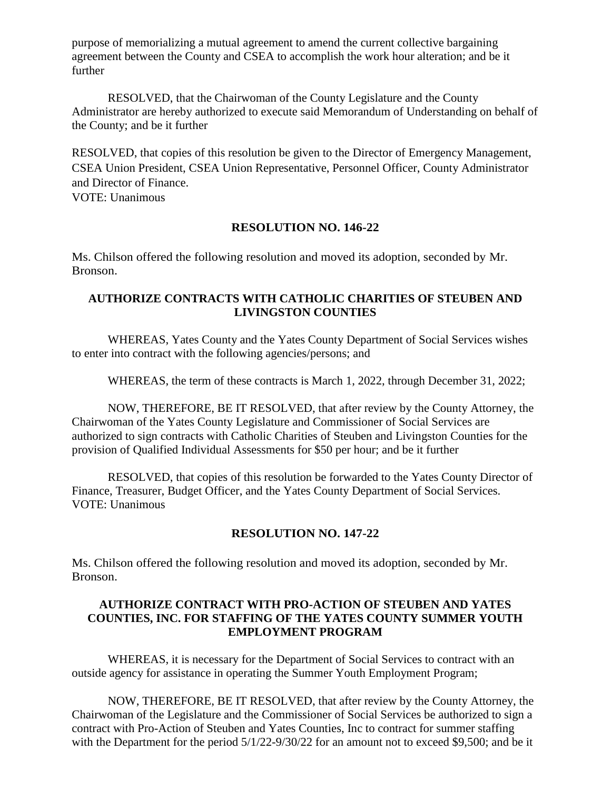purpose of memorializing a mutual agreement to amend the current collective bargaining agreement between the County and CSEA to accomplish the work hour alteration; and be it further

RESOLVED, that the Chairwoman of the County Legislature and the County Administrator are hereby authorized to execute said Memorandum of Understanding on behalf of the County; and be it further

RESOLVED, that copies of this resolution be given to the Director of Emergency Management, CSEA Union President, CSEA Union Representative, Personnel Officer, County Administrator and Director of Finance.

VOTE: Unanimous

## **RESOLUTION NO. 146-22**

Ms. Chilson offered the following resolution and moved its adoption, seconded by Mr. Bronson.

## **AUTHORIZE CONTRACTS WITH CATHOLIC CHARITIES OF STEUBEN AND LIVINGSTON COUNTIES**

WHEREAS, Yates County and the Yates County Department of Social Services wishes to enter into contract with the following agencies/persons; and

WHEREAS, the term of these contracts is March 1, 2022, through December 31, 2022;

NOW, THEREFORE, BE IT RESOLVED, that after review by the County Attorney, the Chairwoman of the Yates County Legislature and Commissioner of Social Services are authorized to sign contracts with Catholic Charities of Steuben and Livingston Counties for the provision of Qualified Individual Assessments for \$50 per hour; and be it further

RESOLVED, that copies of this resolution be forwarded to the Yates County Director of Finance, Treasurer, Budget Officer, and the Yates County Department of Social Services. VOTE: Unanimous

## **RESOLUTION NO. 147-22**

Ms. Chilson offered the following resolution and moved its adoption, seconded by Mr. Bronson.

## **AUTHORIZE CONTRACT WITH PRO-ACTION OF STEUBEN AND YATES COUNTIES, INC. FOR STAFFING OF THE YATES COUNTY SUMMER YOUTH EMPLOYMENT PROGRAM**

WHEREAS, it is necessary for the Department of Social Services to contract with an outside agency for assistance in operating the Summer Youth Employment Program;

NOW, THEREFORE, BE IT RESOLVED, that after review by the County Attorney, the Chairwoman of the Legislature and the Commissioner of Social Services be authorized to sign a contract with Pro-Action of Steuben and Yates Counties, Inc to contract for summer staffing with the Department for the period  $5/1/22-9/30/22$  for an amount not to exceed \$9,500; and be it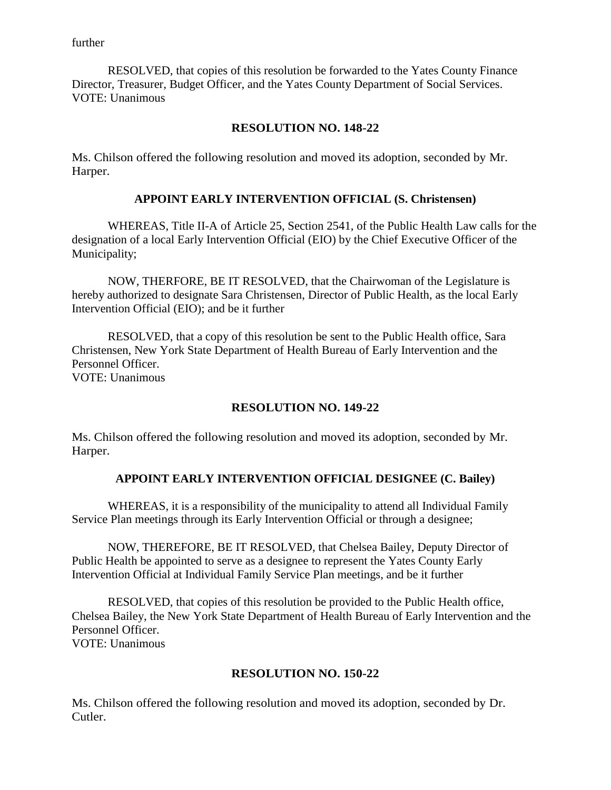further

RESOLVED, that copies of this resolution be forwarded to the Yates County Finance Director, Treasurer, Budget Officer, and the Yates County Department of Social Services. VOTE: Unanimous

## **RESOLUTION NO. 148-22**

Ms. Chilson offered the following resolution and moved its adoption, seconded by Mr. Harper.

#### **APPOINT EARLY INTERVENTION OFFICIAL (S. Christensen)**

WHEREAS, Title II-A of Article 25, Section 2541, of the Public Health Law calls for the designation of a local Early Intervention Official (EIO) by the Chief Executive Officer of the Municipality;

NOW, THERFORE, BE IT RESOLVED, that the Chairwoman of the Legislature is hereby authorized to designate Sara Christensen, Director of Public Health, as the local Early Intervention Official (EIO); and be it further

RESOLVED, that a copy of this resolution be sent to the Public Health office, Sara Christensen, New York State Department of Health Bureau of Early Intervention and the Personnel Officer. VOTE: Unanimous

#### **RESOLUTION NO. 149-22**

Ms. Chilson offered the following resolution and moved its adoption, seconded by Mr. Harper.

#### **APPOINT EARLY INTERVENTION OFFICIAL DESIGNEE (C. Bailey)**

WHEREAS, it is a responsibility of the municipality to attend all Individual Family Service Plan meetings through its Early Intervention Official or through a designee;

NOW, THEREFORE, BE IT RESOLVED, that Chelsea Bailey, Deputy Director of Public Health be appointed to serve as a designee to represent the Yates County Early Intervention Official at Individual Family Service Plan meetings, and be it further

RESOLVED, that copies of this resolution be provided to the Public Health office, Chelsea Bailey, the New York State Department of Health Bureau of Early Intervention and the Personnel Officer. VOTE: Unanimous

#### **RESOLUTION NO. 150-22**

Ms. Chilson offered the following resolution and moved its adoption, seconded by Dr. Cutler.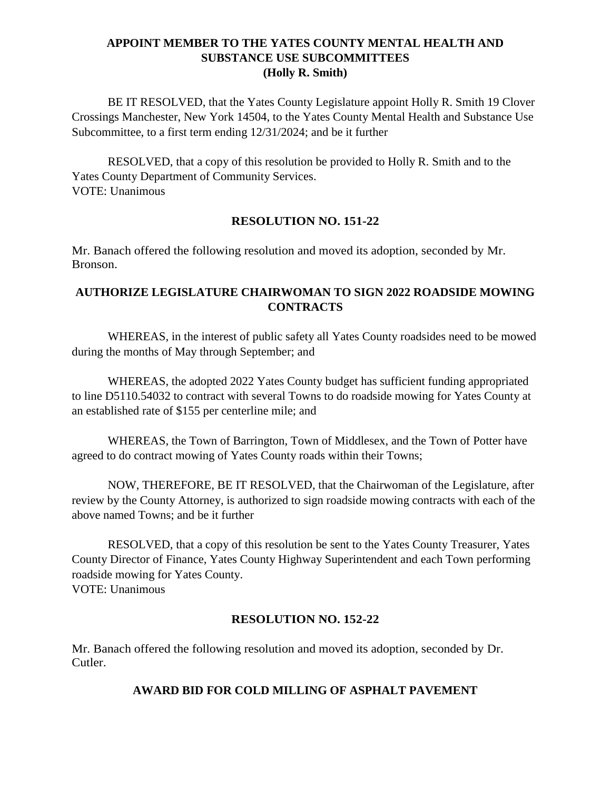## **APPOINT MEMBER TO THE YATES COUNTY MENTAL HEALTH AND SUBSTANCE USE SUBCOMMITTEES (Holly R. Smith)**

BE IT RESOLVED, that the Yates County Legislature appoint Holly R. Smith 19 Clover Crossings Manchester, New York 14504, to the Yates County Mental Health and Substance Use Subcommittee, to a first term ending 12/31/2024; and be it further

RESOLVED, that a copy of this resolution be provided to Holly R. Smith and to the Yates County Department of Community Services. VOTE: Unanimous

## **RESOLUTION NO. 151-22**

Mr. Banach offered the following resolution and moved its adoption, seconded by Mr. Bronson.

## **AUTHORIZE LEGISLATURE CHAIRWOMAN TO SIGN 2022 ROADSIDE MOWING CONTRACTS**

WHEREAS, in the interest of public safety all Yates County roadsides need to be mowed during the months of May through September; and

WHEREAS, the adopted 2022 Yates County budget has sufficient funding appropriated to line D5110.54032 to contract with several Towns to do roadside mowing for Yates County at an established rate of \$155 per centerline mile; and

WHEREAS, the Town of Barrington, Town of Middlesex, and the Town of Potter have agreed to do contract mowing of Yates County roads within their Towns;

NOW, THEREFORE, BE IT RESOLVED, that the Chairwoman of the Legislature, after review by the County Attorney, is authorized to sign roadside mowing contracts with each of the above named Towns; and be it further

RESOLVED, that a copy of this resolution be sent to the Yates County Treasurer, Yates County Director of Finance, Yates County Highway Superintendent and each Town performing roadside mowing for Yates County. VOTE: Unanimous

#### **RESOLUTION NO. 152-22**

Mr. Banach offered the following resolution and moved its adoption, seconded by Dr. Cutler.

#### **AWARD BID FOR COLD MILLING OF ASPHALT PAVEMENT**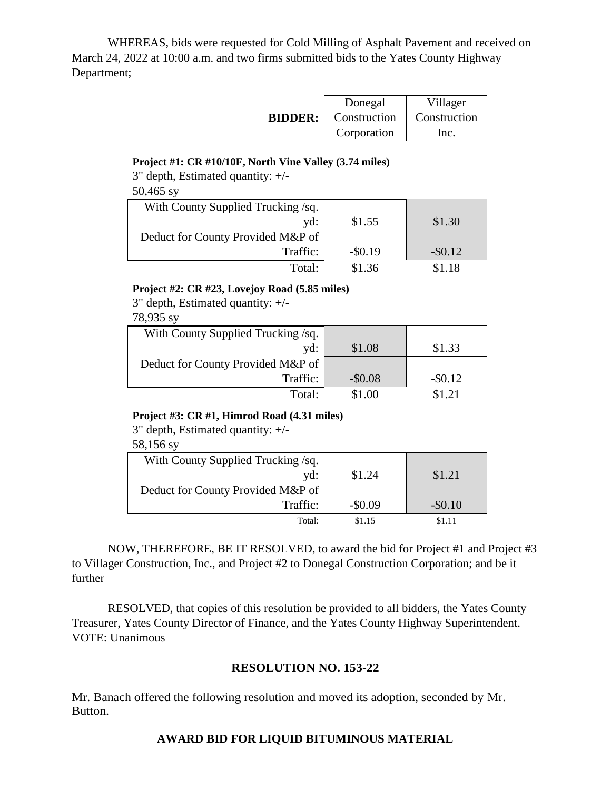WHEREAS, bids were requested for Cold Milling of Asphalt Pavement and received on March 24, 2022 at 10:00 a.m. and two firms submitted bids to the Yates County Highway Department;

|                | Donegal      | Villager     |
|----------------|--------------|--------------|
| <b>BIDDER:</b> | Construction | Construction |
|                | Corporation  | Inc.         |

#### **Project #1: CR #10/10F, North Vine Valley (3.74 miles)**

3" depth, Estimated quantity: +/- 50,465 sy

| With County Supplied Trucking /sq. |            |            |
|------------------------------------|------------|------------|
| yd:                                | \$1.55     | \$1.30     |
| Deduct for County Provided M&P of  |            |            |
| Traffic:                           | $-$ \$0.19 | $-$ \$0.12 |
| Total:                             | \$1.36     | S1.18      |

#### **Project #2: CR #23, Lovejoy Road (5.85 miles)**

3" depth, Estimated quantity: +/-

78,935 sy

| With County Supplied Trucking /sq. |          |            |
|------------------------------------|----------|------------|
| yd:                                | \$1.08   | \$1.33     |
| Deduct for County Provided M&P of  |          |            |
| Traffic:                           | $-$0.08$ | $-$ \$0.12 |
| Total:                             | \$1.00   |            |

#### **Project #3: CR #1, Himrod Road (4.31 miles)**

3" depth, Estimated quantity: +/-

58,156 sy

| With County Supplied Trucking /sq. |          |            |
|------------------------------------|----------|------------|
| yd:                                | \$1.24   | \$1.21     |
| Deduct for County Provided M&P of  |          |            |
| Traffic:                           | $-$0.09$ | $-$ \$0.10 |
| Total:                             | \$1.15   | \$1.11     |

NOW, THEREFORE, BE IT RESOLVED, to award the bid for Project #1 and Project #3 to Villager Construction, Inc., and Project #2 to Donegal Construction Corporation; and be it further

RESOLVED, that copies of this resolution be provided to all bidders, the Yates County Treasurer, Yates County Director of Finance, and the Yates County Highway Superintendent. VOTE: Unanimous

#### **RESOLUTION NO. 153-22**

Mr. Banach offered the following resolution and moved its adoption, seconded by Mr. Button.

#### **AWARD BID FOR LIQUID BITUMINOUS MATERIAL**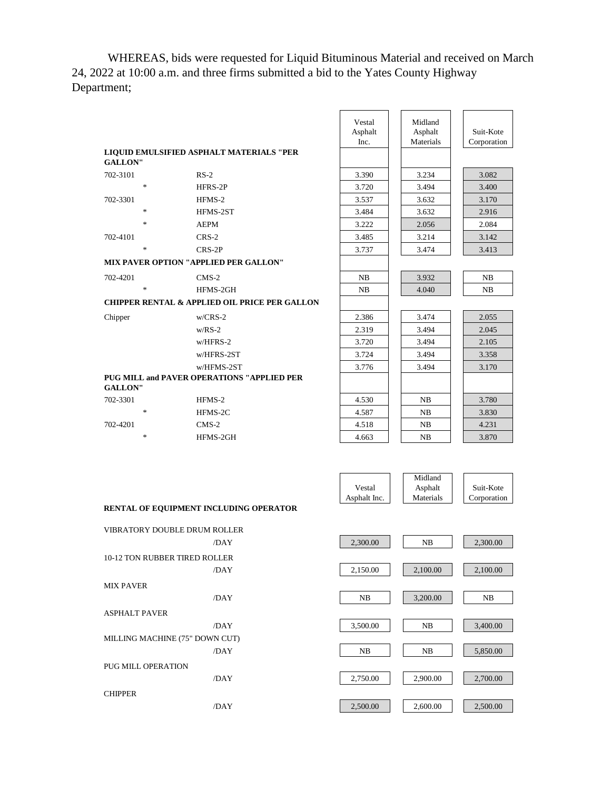WHEREAS, bids were requested for Liquid Bituminous Material and received on March 24, 2022 at 10:00 a.m. and three firms submitted a bid to the Yates County Highway Department;

|                | LIQUID EMULSIFIED ASPHALT MATERIALS "PER                 | Vestal<br>Asphalt<br>Inc. | Midland<br>Asphalt<br>Materials | Suit-Kote<br>Corporation |
|----------------|----------------------------------------------------------|---------------------------|---------------------------------|--------------------------|
| <b>GALLON"</b> |                                                          |                           |                                 |                          |
| 702-3101       | $RS-2$                                                   | 3.390                     | 3.234                           | 3.082                    |
| $\ast$         | HFRS-2P                                                  | 3.720                     | 3.494                           | 3.400                    |
| 702-3301       | HFMS-2                                                   | 3.537                     | 3.632                           | 3.170                    |
| $\ast$         | HFMS-2ST                                                 | 3.484                     | 3.632                           | 2.916                    |
| $\ast$         | <b>AEPM</b>                                              | 3.222                     | 2.056                           | 2.084                    |
| 702-4101       | $CRS-2$                                                  | 3.485                     | 3.214                           | 3.142                    |
| $\ast$         | $CRS-2P$                                                 | 3.737                     | 3.474                           | 3.413                    |
|                | <b>MIX PAVER OPTION "APPLIED PER GALLON"</b>             |                           |                                 |                          |
| 702-4201       | $CMS-2$                                                  | NB                        | 3.932                           | NB                       |
| $\ast$         | HFMS-2GH                                                 | NB                        | 4.040                           | NB                       |
|                | <b>CHIPPER RENTAL &amp; APPLIED OIL PRICE PER GALLON</b> |                           |                                 |                          |
| Chipper        | $w/CRS-2$                                                | 2.386                     | 3.474                           | 2.055                    |
|                | $w/RS-2$                                                 | 2.319                     | 3.494                           | 2.045                    |
|                | $w/HFRS-2$                                               | 3.720                     | 3.494                           | 2.105                    |
|                | w/HFRS-2ST                                               | 3.724                     | 3.494                           | 3.358                    |
|                | w/HFMS-2ST                                               | 3.776                     | 3.494                           | 3.170                    |
| <b>GALLON"</b> | <b>PUG MILL and PAVER OPERATIONS "APPLIED PER</b>        |                           |                                 |                          |
| 702-3301       | HFMS-2                                                   | 4.530                     | NB                              | 3.780                    |
| $\ast$         | HFMS-2C                                                  | 4.587                     | NB                              | 3.830                    |
| 702-4201       | $CMS-2$                                                  | 4.518                     | NB                              | 4.231                    |
| $\ast$         | HFMS-2GH                                                 | 4.663                     | NB                              | 3.870                    |

|              | Midland   |             |
|--------------|-----------|-------------|
| Vestal       | Asphalt   | Suit-Kote   |
| Asphalt Inc. | Materials | Corporation |

#### **RENTAL OF EQUIPMENT INCLUDING OPERATOR**

| VIBRATORY DOUBLE DRUM ROLLER   |
|--------------------------------|
| /DAY                           |
| 10-12 TON RUBBER TIRED ROLLER  |
| /DAY                           |
| <b>MIX PAVER</b>               |
| /DAY                           |
| <b>ASPHALT PAVER</b>           |
| /DAY                           |
| MILLING MACHINE (75" DOWN CUT) |
| /DAY                           |
| PUG MILL OPER ATION            |
| /DAY                           |
| <b>CHIPPER</b>                 |
| /DAY                           |

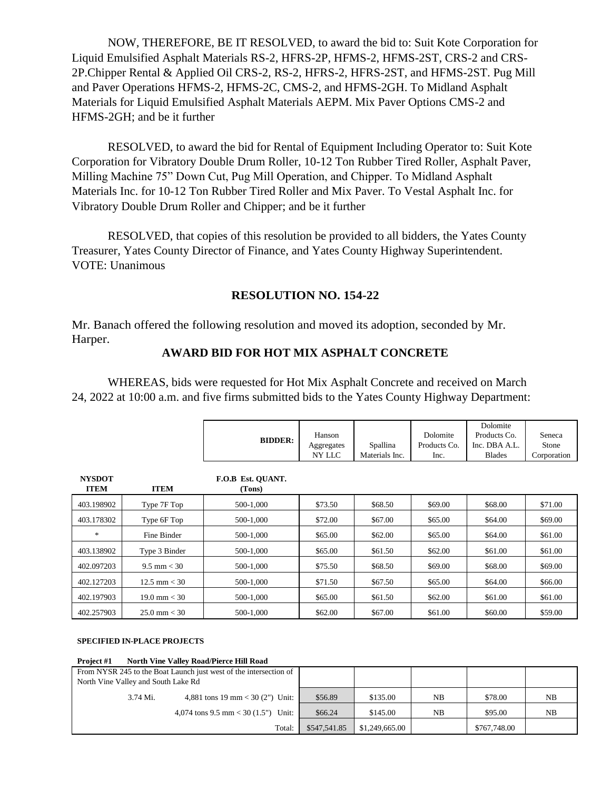NOW, THEREFORE, BE IT RESOLVED, to award the bid to: Suit Kote Corporation for Liquid Emulsified Asphalt Materials RS-2, HFRS-2P, HFMS-2, HFMS-2ST, CRS-2 and CRS-2P.Chipper Rental & Applied Oil CRS-2, RS-2, HFRS-2, HFRS-2ST, and HFMS-2ST. Pug Mill and Paver Operations HFMS-2, HFMS-2C, CMS-2, and HFMS-2GH. To Midland Asphalt Materials for Liquid Emulsified Asphalt Materials AEPM. Mix Paver Options CMS-2 and HFMS-2GH; and be it further

RESOLVED, to award the bid for Rental of Equipment Including Operator to: Suit Kote Corporation for Vibratory Double Drum Roller, 10-12 Ton Rubber Tired Roller, Asphalt Paver, Milling Machine 75" Down Cut, Pug Mill Operation, and Chipper. To Midland Asphalt Materials Inc. for 10-12 Ton Rubber Tired Roller and Mix Paver. To Vestal Asphalt Inc. for Vibratory Double Drum Roller and Chipper; and be it further

RESOLVED, that copies of this resolution be provided to all bidders, the Yates County Treasurer, Yates County Director of Finance, and Yates County Highway Superintendent. VOTE: Unanimous

## **RESOLUTION NO. 154-22**

Mr. Banach offered the following resolution and moved its adoption, seconded by Mr. Harper.

#### **AWARD BID FOR HOT MIX ASPHALT CONCRETE**

WHEREAS, bids were requested for Hot Mix Asphalt Concrete and received on March 24, 2022 at 10:00 a.m. and five firms submitted bids to the Yates County Highway Department:

|               |                        |                   |            |                |              | Dolomite      |             |
|---------------|------------------------|-------------------|------------|----------------|--------------|---------------|-------------|
|               |                        | <b>BIDDER:</b>    | Hanson     |                | Dolomite     | Products Co.  | Seneca      |
|               |                        |                   | Aggregates | Spallina       | Products Co. | Inc. DBA A.L. | Stone       |
|               |                        |                   | NY LLC     | Materials Inc. | Inc.         | <b>Blades</b> | Corporation |
|               |                        |                   |            |                |              |               |             |
| <b>NYSDOT</b> |                        | F.O.B Est. QUANT. |            |                |              |               |             |
| <b>ITEM</b>   | <b>ITEM</b>            | (Tons)            |            |                |              |               |             |
| 403.198902    | Type 7F Top            | 500-1,000         | \$73.50    | \$68.50        | \$69.00      | \$68.00       | \$71.00     |
| 403.178302    | Type 6F Top            | 500-1,000         | \$72.00    | \$67.00        | \$65.00      | \$64.00       | \$69.00     |
| $\ast$        | Fine Binder            | 500-1.000         | \$65.00    | \$62.00        | \$65.00      | \$64.00       | \$61.00     |
| 403.138902    | Type 3 Binder          | 500-1.000         | \$65.00    | \$61.50        | \$62.00      | \$61.00       | \$61.00     |
| 402.097203    | $9.5 \text{ mm} < 30$  | 500-1,000         | \$75.50    | \$68.50        | \$69.00      | \$68.00       | \$69.00     |
| 402.127203    | $12.5 \text{ mm} < 30$ | 500-1.000         | \$71.50    | \$67.50        | \$65.00      | \$64.00       | \$66.00     |
| 402.197903    | $19.0 \text{ mm} < 30$ | 500-1,000         | \$65.00    | \$61.50        | \$62.00      | \$61.00       | \$61.00     |
| 402.257903    | $25.0 \text{ mm} < 30$ | 500-1.000         | \$62.00    | \$67.00        | \$61.00      | \$60.00       | \$59.00     |

#### **SPECIFIED IN-PLACE PROJECTS**

**Project #1 North Vine Valley Road/Pierce Hill Road**

|                                              | From NYSR 245 to the Boat Launch just west of the intersection of |                |          |              |         |    |
|----------------------------------------------|-------------------------------------------------------------------|----------------|----------|--------------|---------|----|
| North Vine Valley and South Lake Rd          |                                                                   |                |          |              |         |    |
| 4,881 tons 19 mm < 30 (2") Unit:<br>3.74 Mi. |                                                                   | \$56.89        | \$135.00 | NB           | \$78.00 | NB |
| 4,074 tons 9.5 mm < 30 $(1.5")$ Unit:        |                                                                   | \$66.24        | \$145.00 | NB           | \$95.00 | NB |
|                                              | \$547,541.85                                                      | \$1,249,665.00 |          | \$767,748.00 |         |    |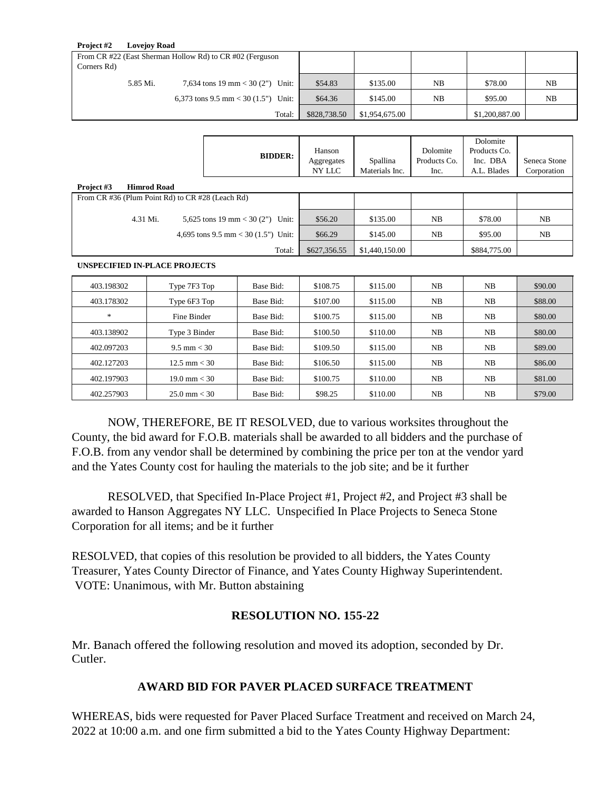| Project #2                                               | <b>Lovejov Road</b> |                                     |              |                |    |                |    |
|----------------------------------------------------------|---------------------|-------------------------------------|--------------|----------------|----|----------------|----|
| From CR #22 (East Sherman Hollow Rd) to CR #02 (Ferguson |                     |                                     |              |                |    |                |    |
| Corners Rd)                                              |                     |                                     |              |                |    |                |    |
|                                                          | 5.85 Mi.            | 7,634 tons 19 mm < 30 (2") Unit:    | \$54.83      | \$135.00       | NB | \$78.00        | NB |
|                                                          |                     | 6,373 tons 9.5 mm < 30 (1.5") Unit: | \$64.36      | \$145.00       | NB | \$95.00        | NB |
|                                                          |                     | Total:                              | \$828,738.50 | \$1,954,675.00 |    | \$1,200,887.00 |    |

|            |                                                  | <b>BIDDER:</b>                      | Hanson<br>Aggregates<br>NY LLC | Spallina<br>Materials Inc. | Dolomite<br>Products Co.<br>Inc. | Dolomite<br>Products Co.<br>Inc. DBA<br>A.L. Blades | Seneca Stone<br>Corporation |
|------------|--------------------------------------------------|-------------------------------------|--------------------------------|----------------------------|----------------------------------|-----------------------------------------------------|-----------------------------|
| Project #3 | <b>Himrod Road</b>                               |                                     |                                |                            |                                  |                                                     |                             |
|            | From CR #36 (Plum Point Rd) to CR #28 (Leach Rd) |                                     |                                |                            |                                  |                                                     |                             |
|            | 4.31 Mi.                                         | 5,625 tons 19 mm < 30 (2")<br>Unit: | \$56.20                        | \$135.00                   | NB                               | \$78.00                                             | NB                          |
|            |                                                  | 4,695 tons 9.5 mm < 30 (1.5") Unit: | \$66.29                        | \$145.00                   | NB                               | \$95.00                                             | NB                          |
|            |                                                  | Total:                              | \$627,356.55                   | \$1,440,150.00             |                                  | \$884,775.00                                        |                             |

#### **UNSPECIFIED IN-PLACE PROJECTS**

| 403.198302 | Type 7F3 Top           | Base Bid: | \$108.75 | \$115.00 | NB | NB | \$90.00 |
|------------|------------------------|-----------|----------|----------|----|----|---------|
| 403.178302 | Type 6F3 Top           | Base Bid: | \$107.00 | \$115.00 | NB | NB | \$88.00 |
| *          | Fine Binder            | Base Bid: | \$100.75 | \$115.00 | NB | NB | \$80.00 |
| 403.138902 | Type 3 Binder          | Base Bid: | \$100.50 | \$110.00 | NB | NB | \$80.00 |
| 402.097203 | $9.5 \text{ mm} < 30$  | Base Bid: | \$109.50 | \$115.00 | NB | NB | \$89.00 |
| 402.127203 | $12.5 \text{ mm} < 30$ | Base Bid: | \$106.50 | \$115.00 | NB | NB | \$86.00 |
| 402.197903 | $19.0 \text{ mm} < 30$ | Base Bid: | \$100.75 | \$110.00 | NB | NB | \$81.00 |
| 402.257903 | $25.0 \text{ mm} < 30$ | Base Bid: | \$98.25  | \$110.00 | NB | NB | \$79.00 |

NOW, THEREFORE, BE IT RESOLVED, due to various worksites throughout the County, the bid award for F.O.B. materials shall be awarded to all bidders and the purchase of F.O.B. from any vendor shall be determined by combining the price per ton at the vendor yard and the Yates County cost for hauling the materials to the job site; and be it further

RESOLVED, that Specified In-Place Project #1, Project #2, and Project #3 shall be awarded to Hanson Aggregates NY LLC. Unspecified In Place Projects to Seneca Stone Corporation for all items; and be it further

RESOLVED, that copies of this resolution be provided to all bidders, the Yates County Treasurer, Yates County Director of Finance, and Yates County Highway Superintendent. VOTE: Unanimous, with Mr. Button abstaining

#### **RESOLUTION NO. 155-22**

Mr. Banach offered the following resolution and moved its adoption, seconded by Dr. Cutler.

## **AWARD BID FOR PAVER PLACED SURFACE TREATMENT**

WHEREAS, bids were requested for Paver Placed Surface Treatment and received on March 24, 2022 at 10:00 a.m. and one firm submitted a bid to the Yates County Highway Department: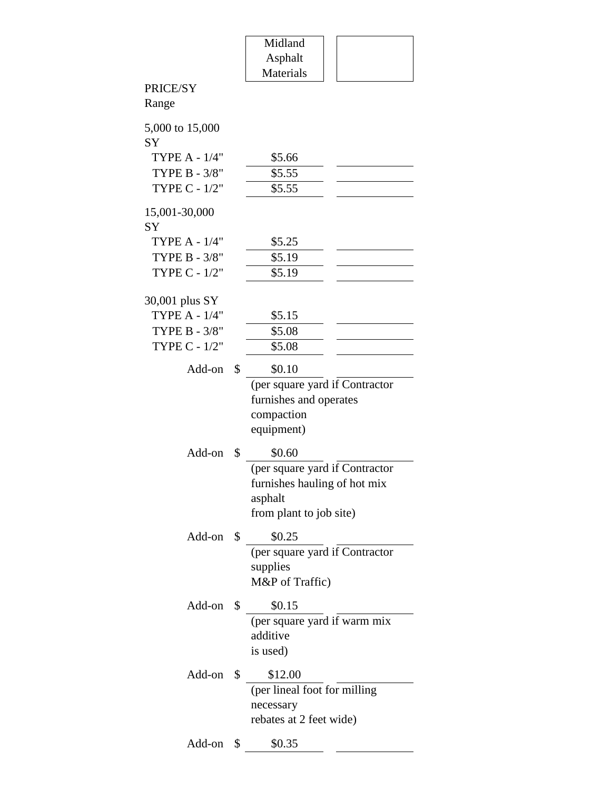|                                        | Midland                        |  |
|----------------------------------------|--------------------------------|--|
|                                        | Asphalt                        |  |
|                                        | <b>Materials</b>               |  |
| PRICE/SY                               |                                |  |
| Range                                  |                                |  |
| 5,000 to 15,000                        |                                |  |
| SY                                     |                                |  |
| <b>TYPE A - 1/4"</b>                   | \$5.66                         |  |
| TYPE B - 3/8"                          | \$5.55                         |  |
| TYPE C - 1/2"                          | \$5.55                         |  |
|                                        |                                |  |
| 15,001-30,000                          |                                |  |
| SY                                     |                                |  |
| <b>TYPE A - 1/4"</b>                   | \$5.25                         |  |
| TYPE B - 3/8"                          | \$5.19                         |  |
| TYPE C - 1/2"                          | \$5.19                         |  |
|                                        |                                |  |
| 30,001 plus SY<br><b>TYPE A - 1/4"</b> | \$5.15                         |  |
| TYPE B - 3/8"                          | \$5.08                         |  |
| TYPE C - 1/2"                          | \$5.08                         |  |
|                                        |                                |  |
| Add-on                                 | \$<br>\$0.10                   |  |
|                                        | (per square yard if Contractor |  |
|                                        | furnishes and operates         |  |
|                                        | compaction                     |  |
|                                        | equipment)                     |  |
| Add-on                                 | \$<br>\$0.60                   |  |
|                                        | (per square yard if Contractor |  |
|                                        | furnishes hauling of hot mix   |  |
|                                        | asphalt                        |  |
|                                        | from plant to job site)        |  |
| Add-on \$                              | \$0.25                         |  |
|                                        | (per square yard if Contractor |  |
|                                        | supplies                       |  |
|                                        | M&P of Traffic)                |  |
|                                        |                                |  |
| Add-on                                 | \$<br>\$0.15                   |  |
|                                        | (per square yard if warm mix   |  |
|                                        | additive                       |  |
|                                        | is used)                       |  |
| Add-on                                 | \$<br>\$12.00                  |  |
|                                        | (per lineal foot for milling   |  |
|                                        | necessary                      |  |
|                                        | rebates at 2 feet wide)        |  |
|                                        |                                |  |
| Add-on                                 | \$<br>\$0.35                   |  |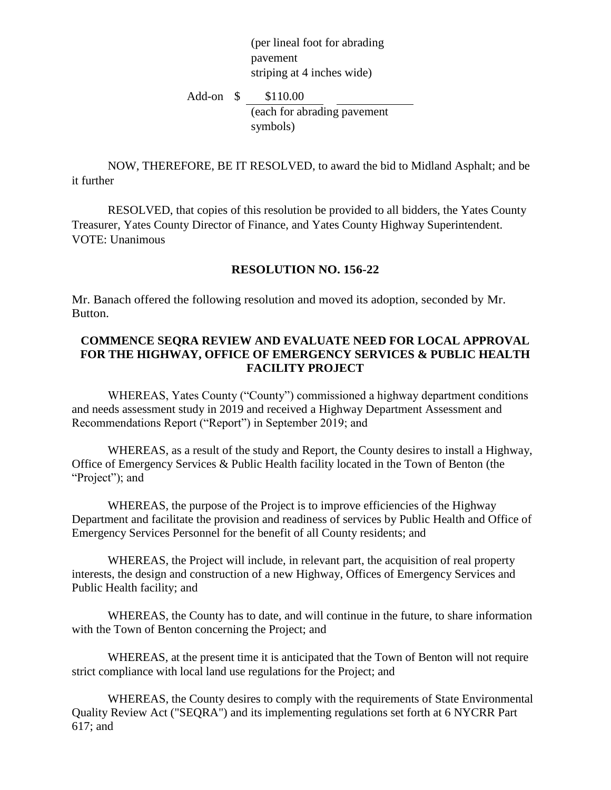(per lineal foot for abrading pavement striping at 4 inches wide)

Add-on \$ \$110.00 (each for abrading pavement symbols)

NOW, THEREFORE, BE IT RESOLVED, to award the bid to Midland Asphalt; and be it further

RESOLVED, that copies of this resolution be provided to all bidders, the Yates County Treasurer, Yates County Director of Finance, and Yates County Highway Superintendent. VOTE: Unanimous

#### **RESOLUTION NO. 156-22**

Mr. Banach offered the following resolution and moved its adoption, seconded by Mr. Button.

#### **COMMENCE SEQRA REVIEW AND EVALUATE NEED FOR LOCAL APPROVAL FOR THE HIGHWAY, OFFICE OF EMERGENCY SERVICES & PUBLIC HEALTH FACILITY PROJECT**

WHEREAS, Yates County ("County") commissioned a highway department conditions and needs assessment study in 2019 and received a Highway Department Assessment and Recommendations Report ("Report") in September 2019; and

WHEREAS, as a result of the study and Report, the County desires to install a Highway, Office of Emergency Services & Public Health facility located in the Town of Benton (the "Project"); and

WHEREAS, the purpose of the Project is to improve efficiencies of the Highway Department and facilitate the provision and readiness of services by Public Health and Office of Emergency Services Personnel for the benefit of all County residents; and

WHEREAS, the Project will include, in relevant part, the acquisition of real property interests, the design and construction of a new Highway, Offices of Emergency Services and Public Health facility; and

WHEREAS, the County has to date, and will continue in the future, to share information with the Town of Benton concerning the Project; and

WHEREAS, at the present time it is anticipated that the Town of Benton will not require strict compliance with local land use regulations for the Project; and

WHEREAS, the County desires to comply with the requirements of State Environmental Quality Review Act ("SEQRA") and its implementing regulations set forth at 6 NYCRR Part 617; and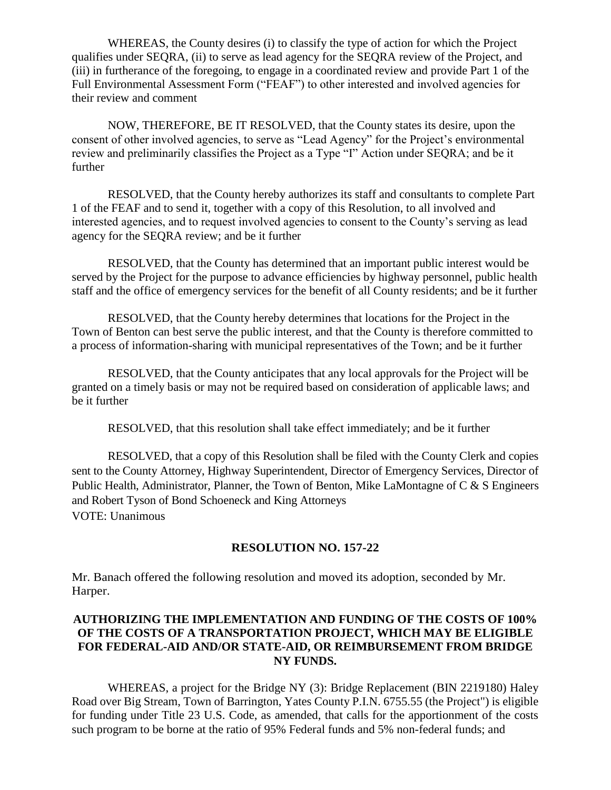WHEREAS, the County desires (i) to classify the type of action for which the Project qualifies under SEQRA, (ii) to serve as lead agency for the SEQRA review of the Project, and (iii) in furtherance of the foregoing, to engage in a coordinated review and provide Part 1 of the Full Environmental Assessment Form ("FEAF") to other interested and involved agencies for their review and comment

NOW, THEREFORE, BE IT RESOLVED, that the County states its desire, upon the consent of other involved agencies, to serve as "Lead Agency" for the Project's environmental review and preliminarily classifies the Project as a Type "I" Action under SEQRA; and be it further

RESOLVED, that the County hereby authorizes its staff and consultants to complete Part 1 of the FEAF and to send it, together with a copy of this Resolution, to all involved and interested agencies, and to request involved agencies to consent to the County's serving as lead agency for the SEQRA review; and be it further

RESOLVED, that the County has determined that an important public interest would be served by the Project for the purpose to advance efficiencies by highway personnel, public health staff and the office of emergency services for the benefit of all County residents; and be it further

RESOLVED, that the County hereby determines that locations for the Project in the Town of Benton can best serve the public interest, and that the County is therefore committed to a process of information-sharing with municipal representatives of the Town; and be it further

RESOLVED, that the County anticipates that any local approvals for the Project will be granted on a timely basis or may not be required based on consideration of applicable laws; and be it further

RESOLVED, that this resolution shall take effect immediately; and be it further

RESOLVED, that a copy of this Resolution shall be filed with the County Clerk and copies sent to the County Attorney, Highway Superintendent, Director of Emergency Services, Director of Public Health, Administrator, Planner, the Town of Benton, Mike LaMontagne of C & S Engineers and Robert Tyson of Bond Schoeneck and King Attorneys VOTE: Unanimous

#### **RESOLUTION NO. 157-22**

Mr. Banach offered the following resolution and moved its adoption, seconded by Mr. Harper.

#### **AUTHORIZING THE IMPLEMENTATION AND FUNDING OF THE COSTS OF 100% OF THE COSTS OF A TRANSPORTATION PROJECT, WHICH MAY BE ELIGIBLE FOR FEDERAL-AID AND/OR STATE-AID, OR REIMBURSEMENT FROM BRIDGE NY FUNDS.**

WHEREAS, a project for the Bridge NY (3): Bridge Replacement (BIN 2219180) Haley Road over Big Stream, Town of Barrington, Yates County P.I.N. 6755.55 (the Project") is eligible for funding under Title 23 U.S. Code, as amended, that calls for the apportionment of the costs such program to be borne at the ratio of 95% Federal funds and 5% non-federal funds; and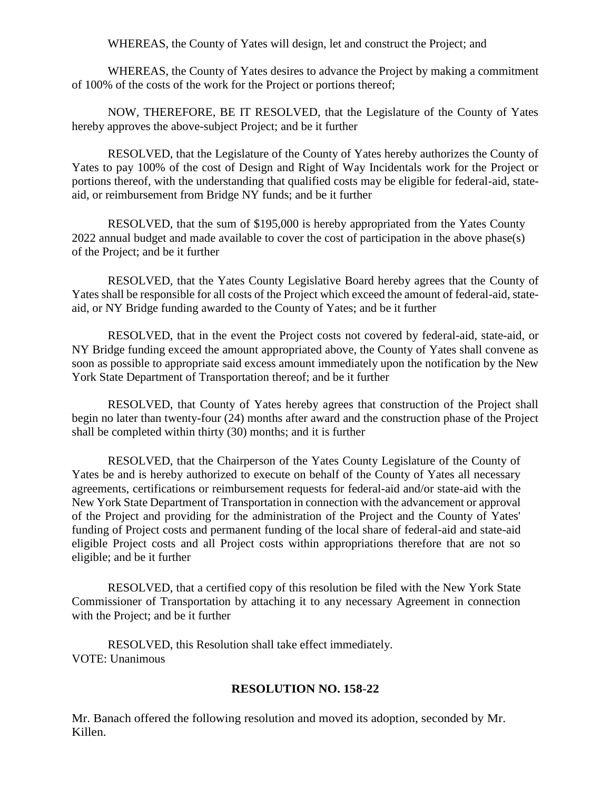WHEREAS, the County of Yates will design, let and construct the Project; and

WHEREAS, the County of Yates desires to advance the Project by making a commitment of 100% of the costs of the work for the Project or portions thereof;

NOW, THEREFORE, BE IT RESOLVED, that the Legislature of the County of Yates hereby approves the above-subject Project; and be it further

RESOLVED, that the Legislature of the County of Yates hereby authorizes the County of Yates to pay 100% of the cost of Design and Right of Way Incidentals work for the Project or portions thereof, with the understanding that qualified costs may be eligible for federal-aid, stateaid, or reimbursement from Bridge NY funds; and be it further

RESOLVED, that the sum of \$195,000 is hereby appropriated from the Yates County 2022 annual budget and made available to cover the cost of participation in the above phase(s) of the Project; and be it further

RESOLVED, that the Yates County Legislative Board hereby agrees that the County of Yates shall be responsible for all costs of the Project which exceed the amount of federal-aid, stateaid, or NY Bridge funding awarded to the County of Yates; and be it further

RESOLVED, that in the event the Project costs not covered by federal-aid, state-aid, or NY Bridge funding exceed the amount appropriated above, the County of Yates shall convene as soon as possible to appropriate said excess amount immediately upon the notification by the New York State Department of Transportation thereof; and be it further

RESOLVED, that County of Yates hereby agrees that construction of the Project shall begin no later than twenty-four (24) months after award and the construction phase of the Project shall be completed within thirty (30) months; and it is further

RESOLVED, that the Chairperson of the Yates County Legislature of the County of Yates be and is hereby authorized to execute on behalf of the County of Yates all necessary agreements, certifications or reimbursement requests for federal-aid and/or state-aid with the New York State Department of Transportation in connection with the advancement or approval of the Project and providing for the administration of the Project and the County of Yates' funding of Project costs and permanent funding of the local share of federal-aid and state-aid eligible Project costs and all Project costs within appropriations therefore that are not so eligible; and be it further

RESOLVED, that a certified copy of this resolution be filed with the New York State Commissioner of Transportation by attaching it to any necessary Agreement in connection with the Project; and be it further

RESOLVED, this Resolution shall take effect immediately. VOTE: Unanimous

## **RESOLUTION NO. 158-22**

Mr. Banach offered the following resolution and moved its adoption, seconded by Mr. Killen.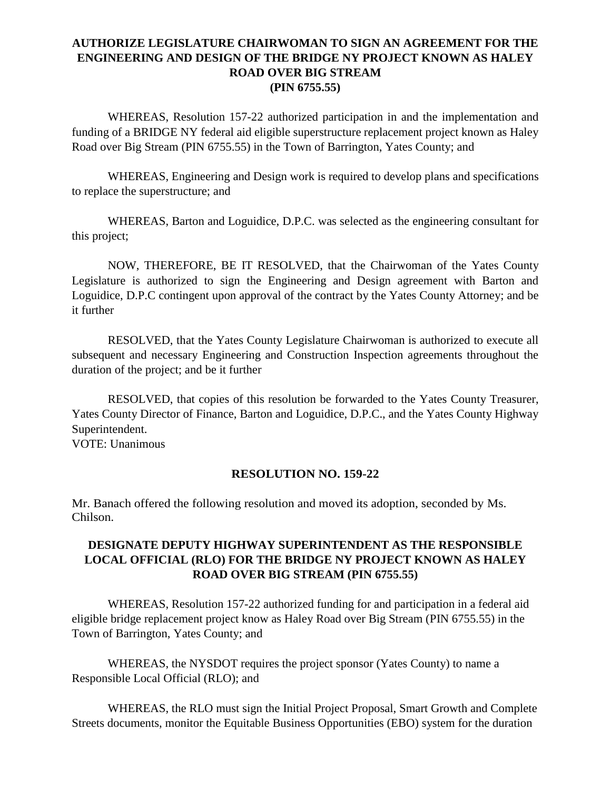## **AUTHORIZE LEGISLATURE CHAIRWOMAN TO SIGN AN AGREEMENT FOR THE ENGINEERING AND DESIGN OF THE BRIDGE NY PROJECT KNOWN AS HALEY ROAD OVER BIG STREAM (PIN 6755.55)**

WHEREAS, Resolution 157-22 authorized participation in and the implementation and funding of a BRIDGE NY federal aid eligible superstructure replacement project known as Haley Road over Big Stream (PIN 6755.55) in the Town of Barrington, Yates County; and

WHEREAS, Engineering and Design work is required to develop plans and specifications to replace the superstructure; and

WHEREAS, Barton and Loguidice, D.P.C. was selected as the engineering consultant for this project;

NOW, THEREFORE, BE IT RESOLVED, that the Chairwoman of the Yates County Legislature is authorized to sign the Engineering and Design agreement with Barton and Loguidice, D.P.C contingent upon approval of the contract by the Yates County Attorney; and be it further

RESOLVED, that the Yates County Legislature Chairwoman is authorized to execute all subsequent and necessary Engineering and Construction Inspection agreements throughout the duration of the project; and be it further

RESOLVED, that copies of this resolution be forwarded to the Yates County Treasurer, Yates County Director of Finance, Barton and Loguidice, D.P.C., and the Yates County Highway Superintendent.

VOTE: Unanimous

## **RESOLUTION NO. 159-22**

Mr. Banach offered the following resolution and moved its adoption, seconded by Ms. Chilson.

## **DESIGNATE DEPUTY HIGHWAY SUPERINTENDENT AS THE RESPONSIBLE LOCAL OFFICIAL (RLO) FOR THE BRIDGE NY PROJECT KNOWN AS HALEY ROAD OVER BIG STREAM (PIN 6755.55)**

WHEREAS, Resolution 157-22 authorized funding for and participation in a federal aid eligible bridge replacement project know as Haley Road over Big Stream (PIN 6755.55) in the Town of Barrington, Yates County; and

WHEREAS, the NYSDOT requires the project sponsor (Yates County) to name a Responsible Local Official (RLO); and

WHEREAS, the RLO must sign the Initial Project Proposal, Smart Growth and Complete Streets documents, monitor the Equitable Business Opportunities (EBO) system for the duration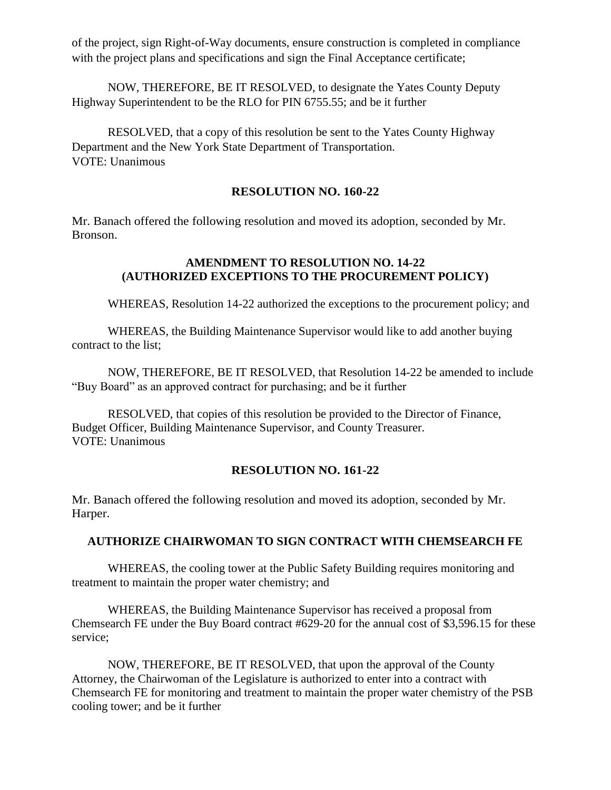of the project, sign Right-of-Way documents, ensure construction is completed in compliance with the project plans and specifications and sign the Final Acceptance certificate;

NOW, THEREFORE, BE IT RESOLVED, to designate the Yates County Deputy Highway Superintendent to be the RLO for PIN 6755.55; and be it further

RESOLVED, that a copy of this resolution be sent to the Yates County Highway Department and the New York State Department of Transportation. VOTE: Unanimous

#### **RESOLUTION NO. 160-22**

Mr. Banach offered the following resolution and moved its adoption, seconded by Mr. Bronson.

## **AMENDMENT TO RESOLUTION NO. 14-22 (AUTHORIZED EXCEPTIONS TO THE PROCUREMENT POLICY)**

WHEREAS, Resolution 14-22 authorized the exceptions to the procurement policy; and

WHEREAS, the Building Maintenance Supervisor would like to add another buying contract to the list;

NOW, THEREFORE, BE IT RESOLVED, that Resolution 14-22 be amended to include "Buy Board" as an approved contract for purchasing; and be it further

RESOLVED, that copies of this resolution be provided to the Director of Finance, Budget Officer, Building Maintenance Supervisor, and County Treasurer. VOTE: Unanimous

#### **RESOLUTION NO. 161-22**

Mr. Banach offered the following resolution and moved its adoption, seconded by Mr. Harper.

#### **AUTHORIZE CHAIRWOMAN TO SIGN CONTRACT WITH CHEMSEARCH FE**

WHEREAS, the cooling tower at the Public Safety Building requires monitoring and treatment to maintain the proper water chemistry; and

WHEREAS, the Building Maintenance Supervisor has received a proposal from Chemsearch FE under the Buy Board contract #629-20 for the annual cost of \$3,596.15 for these service;

NOW, THEREFORE, BE IT RESOLVED, that upon the approval of the County Attorney, the Chairwoman of the Legislature is authorized to enter into a contract with Chemsearch FE for monitoring and treatment to maintain the proper water chemistry of the PSB cooling tower; and be it further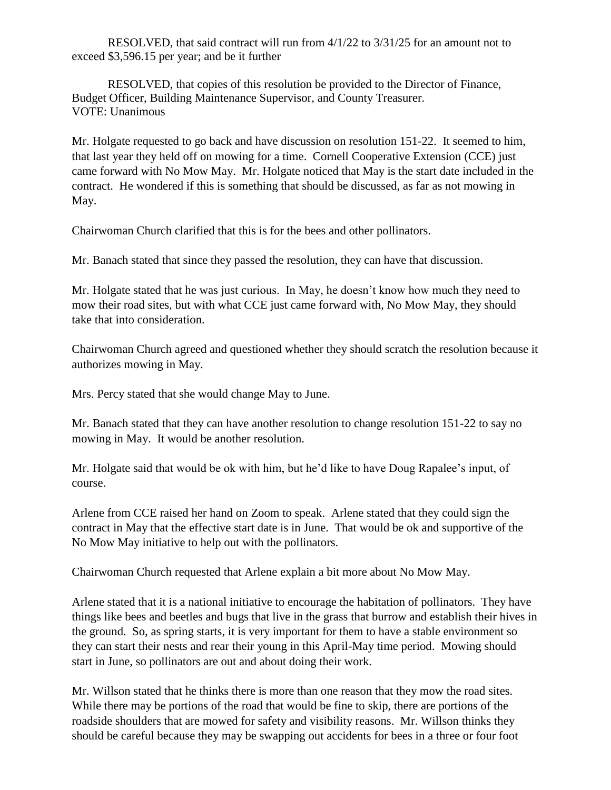RESOLVED, that said contract will run from 4/1/22 to 3/31/25 for an amount not to exceed \$3,596.15 per year; and be it further

RESOLVED, that copies of this resolution be provided to the Director of Finance, Budget Officer, Building Maintenance Supervisor, and County Treasurer. VOTE: Unanimous

Mr. Holgate requested to go back and have discussion on resolution 151-22. It seemed to him, that last year they held off on mowing for a time. Cornell Cooperative Extension (CCE) just came forward with No Mow May. Mr. Holgate noticed that May is the start date included in the contract. He wondered if this is something that should be discussed, as far as not mowing in May.

Chairwoman Church clarified that this is for the bees and other pollinators.

Mr. Banach stated that since they passed the resolution, they can have that discussion.

Mr. Holgate stated that he was just curious. In May, he doesn't know how much they need to mow their road sites, but with what CCE just came forward with, No Mow May, they should take that into consideration.

Chairwoman Church agreed and questioned whether they should scratch the resolution because it authorizes mowing in May.

Mrs. Percy stated that she would change May to June.

Mr. Banach stated that they can have another resolution to change resolution 151-22 to say no mowing in May. It would be another resolution.

Mr. Holgate said that would be ok with him, but he'd like to have Doug Rapalee's input, of course.

Arlene from CCE raised her hand on Zoom to speak. Arlene stated that they could sign the contract in May that the effective start date is in June. That would be ok and supportive of the No Mow May initiative to help out with the pollinators.

Chairwoman Church requested that Arlene explain a bit more about No Mow May.

Arlene stated that it is a national initiative to encourage the habitation of pollinators. They have things like bees and beetles and bugs that live in the grass that burrow and establish their hives in the ground. So, as spring starts, it is very important for them to have a stable environment so they can start their nests and rear their young in this April-May time period. Mowing should start in June, so pollinators are out and about doing their work.

Mr. Willson stated that he thinks there is more than one reason that they mow the road sites. While there may be portions of the road that would be fine to skip, there are portions of the roadside shoulders that are mowed for safety and visibility reasons. Mr. Willson thinks they should be careful because they may be swapping out accidents for bees in a three or four foot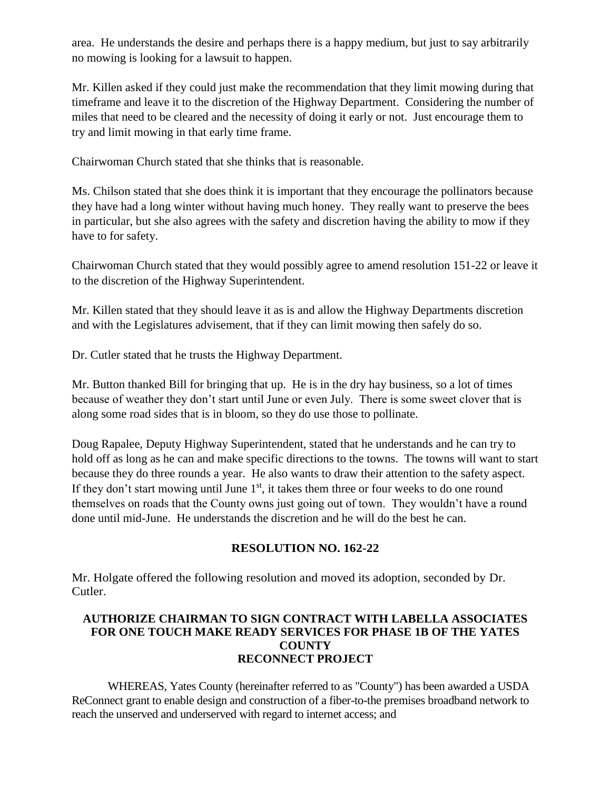area. He understands the desire and perhaps there is a happy medium, but just to say arbitrarily no mowing is looking for a lawsuit to happen.

Mr. Killen asked if they could just make the recommendation that they limit mowing during that timeframe and leave it to the discretion of the Highway Department. Considering the number of miles that need to be cleared and the necessity of doing it early or not. Just encourage them to try and limit mowing in that early time frame.

Chairwoman Church stated that she thinks that is reasonable.

Ms. Chilson stated that she does think it is important that they encourage the pollinators because they have had a long winter without having much honey. They really want to preserve the bees in particular, but she also agrees with the safety and discretion having the ability to mow if they have to for safety.

Chairwoman Church stated that they would possibly agree to amend resolution 151-22 or leave it to the discretion of the Highway Superintendent.

Mr. Killen stated that they should leave it as is and allow the Highway Departments discretion and with the Legislatures advisement, that if they can limit mowing then safely do so.

Dr. Cutler stated that he trusts the Highway Department.

Mr. Button thanked Bill for bringing that up. He is in the dry hay business, so a lot of times because of weather they don't start until June or even July. There is some sweet clover that is along some road sides that is in bloom, so they do use those to pollinate.

Doug Rapalee, Deputy Highway Superintendent, stated that he understands and he can try to hold off as long as he can and make specific directions to the towns. The towns will want to start because they do three rounds a year. He also wants to draw their attention to the safety aspect. If they don't start mowing until June  $1<sup>st</sup>$ , it takes them three or four weeks to do one round themselves on roads that the County owns just going out of town. They wouldn't have a round done until mid-June. He understands the discretion and he will do the best he can.

## **RESOLUTION NO. 162-22**

Mr. Holgate offered the following resolution and moved its adoption, seconded by Dr. Cutler.

## **AUTHORIZE CHAIRMAN TO SIGN CONTRACT WITH LABELLA ASSOCIATES FOR ONE TOUCH MAKE READY SERVICES FOR PHASE 1B OF THE YATES COUNTY RECONNECT PROJECT**

WHEREAS, Yates County (hereinafter referred to as "County") has been awarded a USDA ReConnect grant to enable design and construction of a fiber-to-the premises broadband network to reach the unserved and underserved with regard to internet access; and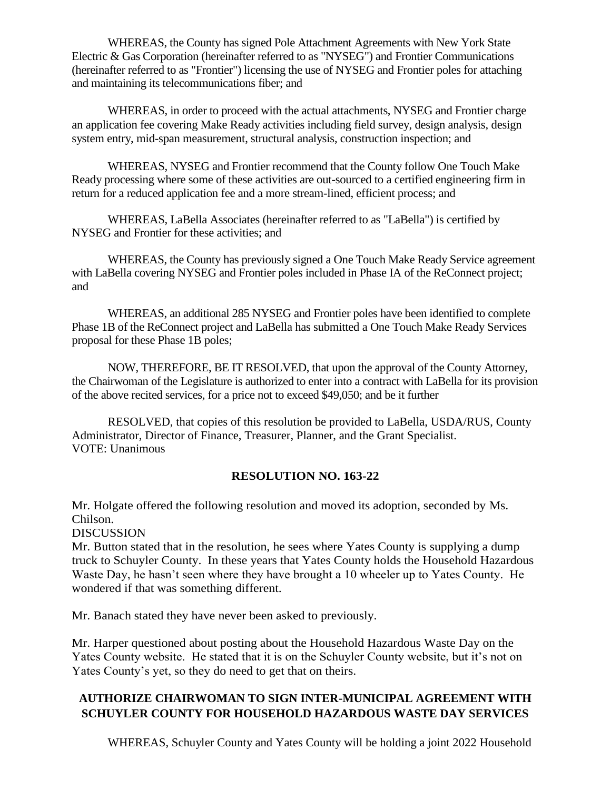WHEREAS, the County has signed Pole Attachment Agreements with New York State Electric & Gas Corporation (hereinafter referred to as "NYSEG") and Frontier Communications (hereinafter referred to as "Frontier") licensing the use of NYSEG and Frontier poles for attaching and maintaining its telecommunications fiber; and

WHEREAS, in order to proceed with the actual attachments, NYSEG and Frontier charge an application fee covering Make Ready activities including field survey, design analysis, design system entry, mid-span measurement, structural analysis, construction inspection; and

WHEREAS, NYSEG and Frontier recommend that the County follow One Touch Make Ready processing where some of these activities are out-sourced to a certified engineering firm in return for a reduced application fee and a more stream-lined, efficient process; and

WHEREAS, LaBella Associates (hereinafter referred to as "LaBella") is certified by NYSEG and Frontier for these activities; and

WHEREAS, the County has previously signed a One Touch Make Ready Service agreement with LaBella covering NYSEG and Frontier poles included in Phase IA of the ReConnect project; and

WHEREAS, an additional 285 NYSEG and Frontier poles have been identified to complete Phase 1B of the ReConnect project and LaBella has submitted a One Touch Make Ready Services proposal for these Phase 1B poles;

NOW, THEREFORE, BE IT RESOLVED, that upon the approval of the County Attorney, the Chairwoman of the Legislature is authorized to enter into a contract with LaBella for its provision of the above recited services, for a price not to exceed \$49,050; and be it further

RESOLVED, that copies of this resolution be provided to LaBella, USDA/RUS, County Administrator, Director of Finance, Treasurer, Planner, and the Grant Specialist. VOTE: Unanimous

## **RESOLUTION NO. 163-22**

Mr. Holgate offered the following resolution and moved its adoption, seconded by Ms. Chilson.

DISCUSSION

Mr. Button stated that in the resolution, he sees where Yates County is supplying a dump truck to Schuyler County. In these years that Yates County holds the Household Hazardous Waste Day, he hasn't seen where they have brought a 10 wheeler up to Yates County. He wondered if that was something different.

Mr. Banach stated they have never been asked to previously.

Mr. Harper questioned about posting about the Household Hazardous Waste Day on the Yates County website. He stated that it is on the Schuyler County website, but it's not on Yates County's yet, so they do need to get that on theirs.

## **AUTHORIZE CHAIRWOMAN TO SIGN INTER-MUNICIPAL AGREEMENT WITH SCHUYLER COUNTY FOR HOUSEHOLD HAZARDOUS WASTE DAY SERVICES**

WHEREAS, Schuyler County and Yates County will be holding a joint 2022 Household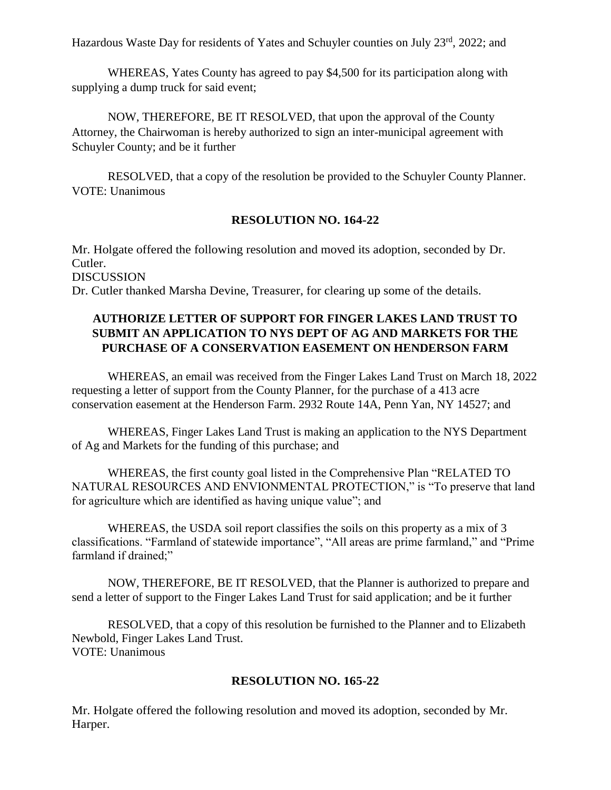Hazardous Waste Day for residents of Yates and Schuyler counties on July 23<sup>rd</sup>, 2022; and

WHEREAS, Yates County has agreed to pay \$4,500 for its participation along with supplying a dump truck for said event;

NOW, THEREFORE, BE IT RESOLVED, that upon the approval of the County Attorney, the Chairwoman is hereby authorized to sign an inter-municipal agreement with Schuyler County; and be it further

RESOLVED, that a copy of the resolution be provided to the Schuyler County Planner. VOTE: Unanimous

## **RESOLUTION NO. 164-22**

Mr. Holgate offered the following resolution and moved its adoption, seconded by Dr. Cutler. **DISCUSSION** Dr. Cutler thanked Marsha Devine, Treasurer, for clearing up some of the details.

## **AUTHORIZE LETTER OF SUPPORT FOR FINGER LAKES LAND TRUST TO SUBMIT AN APPLICATION TO NYS DEPT OF AG AND MARKETS FOR THE PURCHASE OF A CONSERVATION EASEMENT ON HENDERSON FARM**

WHEREAS, an email was received from the Finger Lakes Land Trust on March 18, 2022 requesting a letter of support from the County Planner, for the purchase of a 413 acre conservation easement at the Henderson Farm. 2932 Route 14A, Penn Yan, NY 14527; and

WHEREAS, Finger Lakes Land Trust is making an application to the NYS Department of Ag and Markets for the funding of this purchase; and

WHEREAS, the first county goal listed in the Comprehensive Plan "RELATED TO NATURAL RESOURCES AND ENVIONMENTAL PROTECTION," is "To preserve that land for agriculture which are identified as having unique value"; and

WHEREAS, the USDA soil report classifies the soils on this property as a mix of 3 classifications. "Farmland of statewide importance", "All areas are prime farmland," and "Prime farmland if drained:"

NOW, THEREFORE, BE IT RESOLVED, that the Planner is authorized to prepare and send a letter of support to the Finger Lakes Land Trust for said application; and be it further

RESOLVED, that a copy of this resolution be furnished to the Planner and to Elizabeth Newbold, Finger Lakes Land Trust. VOTE: Unanimous

## **RESOLUTION NO. 165-22**

Mr. Holgate offered the following resolution and moved its adoption, seconded by Mr. Harper.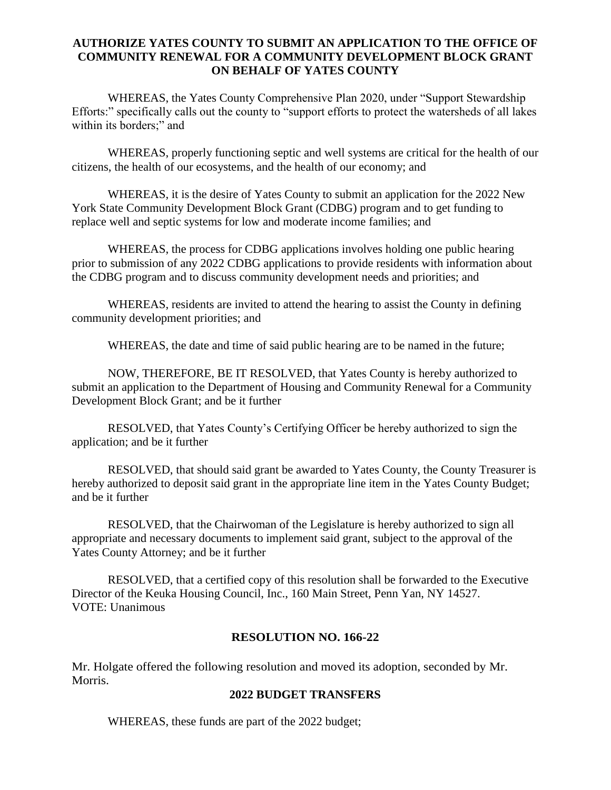## **AUTHORIZE YATES COUNTY TO SUBMIT AN APPLICATION TO THE OFFICE OF COMMUNITY RENEWAL FOR A COMMUNITY DEVELOPMENT BLOCK GRANT ON BEHALF OF YATES COUNTY**

WHEREAS, the Yates County Comprehensive Plan 2020, under "Support Stewardship Efforts:" specifically calls out the county to "support efforts to protect the watersheds of all lakes within its borders;" and

WHEREAS, properly functioning septic and well systems are critical for the health of our citizens, the health of our ecosystems, and the health of our economy; and

WHEREAS, it is the desire of Yates County to submit an application for the 2022 New York State Community Development Block Grant (CDBG) program and to get funding to replace well and septic systems for low and moderate income families; and

WHEREAS, the process for CDBG applications involves holding one public hearing prior to submission of any 2022 CDBG applications to provide residents with information about the CDBG program and to discuss community development needs and priorities; and

WHEREAS, residents are invited to attend the hearing to assist the County in defining community development priorities; and

WHEREAS, the date and time of said public hearing are to be named in the future;

NOW, THEREFORE, BE IT RESOLVED, that Yates County is hereby authorized to submit an application to the Department of Housing and Community Renewal for a Community Development Block Grant; and be it further

RESOLVED, that Yates County's Certifying Officer be hereby authorized to sign the application; and be it further

RESOLVED, that should said grant be awarded to Yates County, the County Treasurer is hereby authorized to deposit said grant in the appropriate line item in the Yates County Budget; and be it further

RESOLVED, that the Chairwoman of the Legislature is hereby authorized to sign all appropriate and necessary documents to implement said grant, subject to the approval of the Yates County Attorney; and be it further

RESOLVED, that a certified copy of this resolution shall be forwarded to the Executive Director of the Keuka Housing Council, Inc., 160 Main Street, Penn Yan, NY 14527. VOTE: Unanimous

## **RESOLUTION NO. 166-22**

Mr. Holgate offered the following resolution and moved its adoption, seconded by Mr. Morris.

#### **2022 BUDGET TRANSFERS**

WHEREAS, these funds are part of the 2022 budget;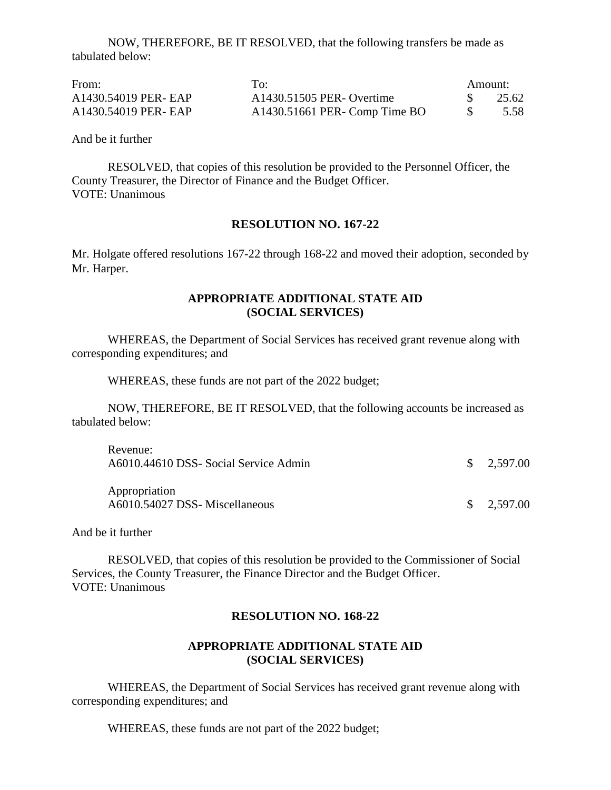NOW, THEREFORE, BE IT RESOLVED, that the following transfers be made as tabulated below:

| From:                | To:                            | Amount: |       |
|----------------------|--------------------------------|---------|-------|
| A1430.54019 PER- EAP | A1430.51505 PER- Overtime      |         | 25.62 |
| A1430.54019 PER- EAP | $A1430.51661$ PER-Comp Time BO |         | 5.58  |

And be it further

RESOLVED, that copies of this resolution be provided to the Personnel Officer, the County Treasurer, the Director of Finance and the Budget Officer. VOTE: Unanimous

#### **RESOLUTION NO. 167-22**

Mr. Holgate offered resolutions 167-22 through 168-22 and moved their adoption, seconded by Mr. Harper.

#### **APPROPRIATE ADDITIONAL STATE AID (SOCIAL SERVICES)**

WHEREAS, the Department of Social Services has received grant revenue along with corresponding expenditures; and

WHEREAS, these funds are not part of the 2022 budget;

NOW, THEREFORE, BE IT RESOLVED, that the following accounts be increased as tabulated below:

| Revenue:<br>A6010.44610 DSS- Social Service Admin | $\frac{\$}{2.597.00}$ |
|---------------------------------------------------|-----------------------|
| Appropriation<br>A6010.54027 DSS- Miscellaneous   | $\frac{\$}{2.597.00}$ |

And be it further

RESOLVED, that copies of this resolution be provided to the Commissioner of Social Services, the County Treasurer, the Finance Director and the Budget Officer. VOTE: Unanimous

#### **RESOLUTION NO. 168-22**

#### **APPROPRIATE ADDITIONAL STATE AID (SOCIAL SERVICES)**

WHEREAS, the Department of Social Services has received grant revenue along with corresponding expenditures; and

WHEREAS, these funds are not part of the 2022 budget;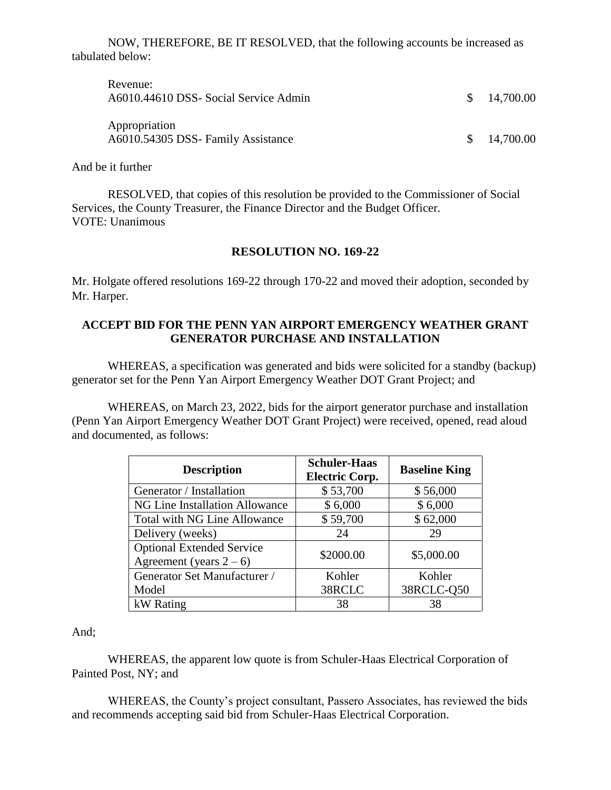NOW, THEREFORE, BE IT RESOLVED, that the following accounts be increased as tabulated below:

| Revenue:<br>A6010.44610 DSS- Social Service Admin   | \$14,700.00  |
|-----------------------------------------------------|--------------|
| Appropriation<br>A6010.54305 DSS- Family Assistance | \$ 14,700.00 |

And be it further

RESOLVED, that copies of this resolution be provided to the Commissioner of Social Services, the County Treasurer, the Finance Director and the Budget Officer. VOTE: Unanimous

#### **RESOLUTION NO. 169-22**

Mr. Holgate offered resolutions 169-22 through 170-22 and moved their adoption, seconded by Mr. Harper.

#### **ACCEPT BID FOR THE PENN YAN AIRPORT EMERGENCY WEATHER GRANT GENERATOR PURCHASE AND INSTALLATION**

WHEREAS, a specification was generated and bids were solicited for a standby (backup) generator set for the Penn Yan Airport Emergency Weather DOT Grant Project; and

WHEREAS, on March 23, 2022, bids for the airport generator purchase and installation (Penn Yan Airport Emergency Weather DOT Grant Project) were received, opened, read aloud and documented, as follows:

| <b>Description</b>                  | <b>Schuler-Haas</b><br><b>Electric Corp.</b> | <b>Baseline King</b> |
|-------------------------------------|----------------------------------------------|----------------------|
| Generator / Installation            | \$53,700                                     | \$56,000             |
| NG Line Installation Allowance      | \$6,000                                      | \$6,000              |
| <b>Total with NG Line Allowance</b> | \$59,700                                     | \$62,000             |
| Delivery (weeks)                    | 24                                           | 29                   |
| <b>Optional Extended Service</b>    | \$2000.00                                    | \$5,000.00           |
| Agreement (years $2-6$ )            |                                              |                      |
| Generator Set Manufacturer /        | Kohler                                       | Kohler               |
| Model                               | 38RCLC                                       | 38RCLC-Q50           |
| kW Rating                           | 38                                           | 38                   |

And;

WHEREAS, the apparent low quote is from Schuler-Haas Electrical Corporation of Painted Post, NY; and

WHEREAS, the County's project consultant, Passero Associates, has reviewed the bids and recommends accepting said bid from Schuler-Haas Electrical Corporation.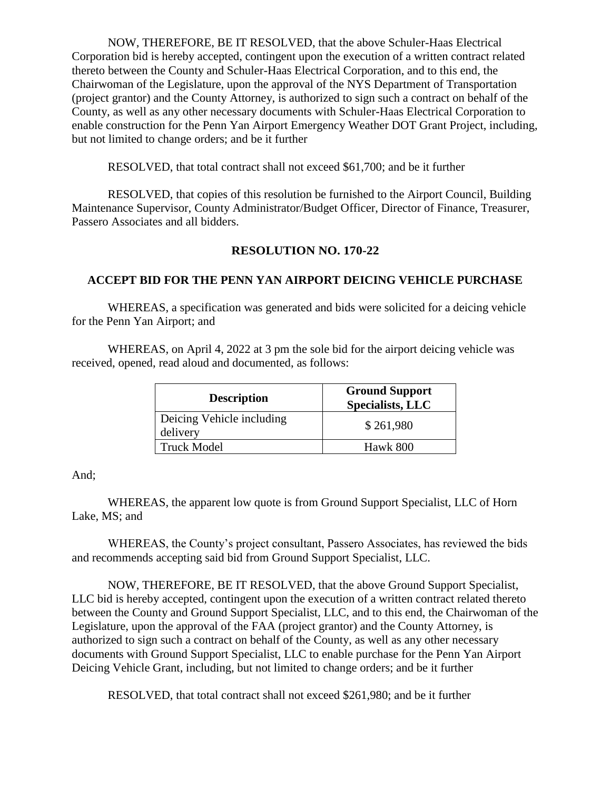NOW, THEREFORE, BE IT RESOLVED, that the above Schuler-Haas Electrical Corporation bid is hereby accepted, contingent upon the execution of a written contract related thereto between the County and Schuler-Haas Electrical Corporation, and to this end, the Chairwoman of the Legislature, upon the approval of the NYS Department of Transportation (project grantor) and the County Attorney, is authorized to sign such a contract on behalf of the County, as well as any other necessary documents with Schuler-Haas Electrical Corporation to enable construction for the Penn Yan Airport Emergency Weather DOT Grant Project, including, but not limited to change orders; and be it further

RESOLVED, that total contract shall not exceed \$61,700; and be it further

RESOLVED, that copies of this resolution be furnished to the Airport Council, Building Maintenance Supervisor, County Administrator/Budget Officer, Director of Finance, Treasurer, Passero Associates and all bidders.

## **RESOLUTION NO. 170-22**

## **ACCEPT BID FOR THE PENN YAN AIRPORT DEICING VEHICLE PURCHASE**

WHEREAS, a specification was generated and bids were solicited for a deicing vehicle for the Penn Yan Airport; and

WHEREAS, on April 4, 2022 at 3 pm the sole bid for the airport deicing vehicle was received, opened, read aloud and documented, as follows:

| <b>Description</b>                    | <b>Ground Support</b><br><b>Specialists, LLC</b> |
|---------------------------------------|--------------------------------------------------|
| Deicing Vehicle including<br>delivery | \$261,980                                        |
| <b>Truck Model</b>                    | Hawk 800                                         |

And;

WHEREAS, the apparent low quote is from Ground Support Specialist, LLC of Horn Lake, MS; and

WHEREAS, the County's project consultant, Passero Associates, has reviewed the bids and recommends accepting said bid from Ground Support Specialist, LLC.

NOW, THEREFORE, BE IT RESOLVED, that the above Ground Support Specialist, LLC bid is hereby accepted, contingent upon the execution of a written contract related thereto between the County and Ground Support Specialist, LLC, and to this end, the Chairwoman of the Legislature, upon the approval of the FAA (project grantor) and the County Attorney, is authorized to sign such a contract on behalf of the County, as well as any other necessary documents with Ground Support Specialist, LLC to enable purchase for the Penn Yan Airport Deicing Vehicle Grant, including, but not limited to change orders; and be it further

RESOLVED, that total contract shall not exceed \$261,980; and be it further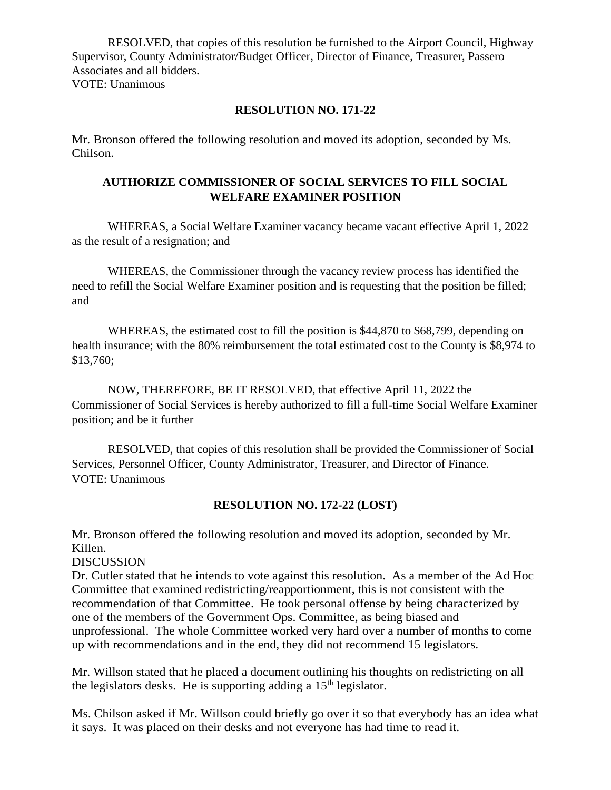RESOLVED, that copies of this resolution be furnished to the Airport Council, Highway Supervisor, County Administrator/Budget Officer, Director of Finance, Treasurer, Passero Associates and all bidders. VOTE: Unanimous

### **RESOLUTION NO. 171-22**

Mr. Bronson offered the following resolution and moved its adoption, seconded by Ms. Chilson.

## **AUTHORIZE COMMISSIONER OF SOCIAL SERVICES TO FILL SOCIAL WELFARE EXAMINER POSITION**

WHEREAS, a Social Welfare Examiner vacancy became vacant effective April 1, 2022 as the result of a resignation; and

WHEREAS, the Commissioner through the vacancy review process has identified the need to refill the Social Welfare Examiner position and is requesting that the position be filled; and

WHEREAS, the estimated cost to fill the position is \$44,870 to \$68,799, depending on health insurance; with the 80% reimbursement the total estimated cost to the County is \$8,974 to \$13,760;

NOW, THEREFORE, BE IT RESOLVED, that effective April 11, 2022 the Commissioner of Social Services is hereby authorized to fill a full-time Social Welfare Examiner position; and be it further

RESOLVED, that copies of this resolution shall be provided the Commissioner of Social Services, Personnel Officer, County Administrator, Treasurer, and Director of Finance. VOTE: Unanimous

## **RESOLUTION NO. 172-22 (LOST)**

Mr. Bronson offered the following resolution and moved its adoption, seconded by Mr. Killen.

DISCUSSION

Dr. Cutler stated that he intends to vote against this resolution. As a member of the Ad Hoc Committee that examined redistricting/reapportionment, this is not consistent with the recommendation of that Committee. He took personal offense by being characterized by one of the members of the Government Ops. Committee, as being biased and unprofessional. The whole Committee worked very hard over a number of months to come up with recommendations and in the end, they did not recommend 15 legislators.

Mr. Willson stated that he placed a document outlining his thoughts on redistricting on all the legislators desks. He is supporting adding a  $15<sup>th</sup>$  legislator.

Ms. Chilson asked if Mr. Willson could briefly go over it so that everybody has an idea what it says. It was placed on their desks and not everyone has had time to read it.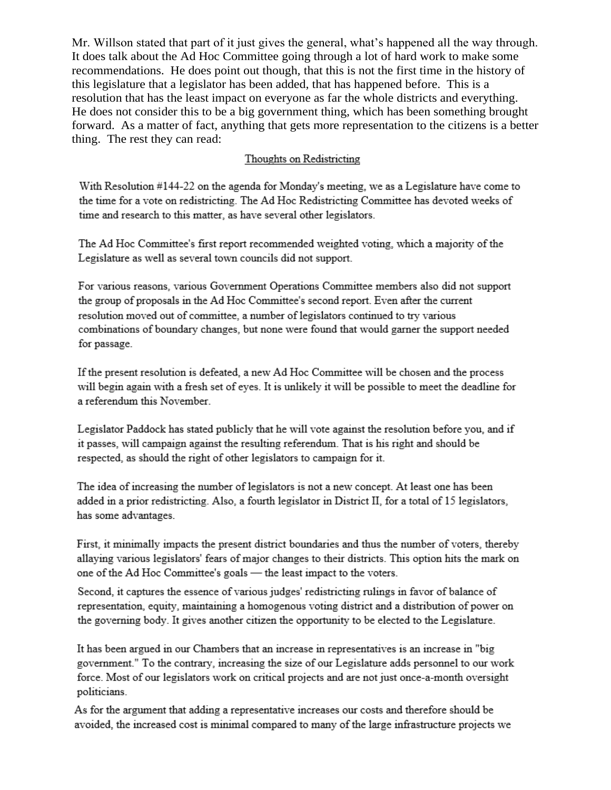Mr. Willson stated that part of it just gives the general, what's happened all the way through. It does talk about the Ad Hoc Committee going through a lot of hard work to make some recommendations. He does point out though, that this is not the first time in the history of this legislature that a legislator has been added, that has happened before. This is a resolution that has the least impact on everyone as far the whole districts and everything. He does not consider this to be a big government thing, which has been something brought forward. As a matter of fact, anything that gets more representation to the citizens is a better thing. The rest they can read:

## Thoughts on Redistricting

With Resolution #144-22 on the agenda for Monday's meeting, we as a Legislature have come to the time for a vote on redistricting. The Ad Hoc Redistricting Committee has devoted weeks of time and research to this matter, as have several other legislators.

The Ad Hoc Committee's first report recommended weighted voting, which a majority of the Legislature as well as several town councils did not support.

For various reasons, various Government Operations Committee members also did not support the group of proposals in the Ad Hoc Committee's second report. Even after the current resolution moved out of committee, a number of legislators continued to try various combinations of boundary changes, but none were found that would garner the support needed for passage.

If the present resolution is defeated, a new Ad Hoc Committee will be chosen and the process will begin again with a fresh set of eyes. It is unlikely it will be possible to meet the deadline for a referendum this November.

Legislator Paddock has stated publicly that he will vote against the resolution before you, and if it passes, will campaign against the resulting referendum. That is his right and should be respected, as should the right of other legislators to campaign for it.

The idea of increasing the number of legislators is not a new concept. At least one has been added in a prior redistricting. Also, a fourth legislator in District II, for a total of 15 legislators, has some advantages.

First, it minimally impacts the present district boundaries and thus the number of voters, thereby allaying various legislators' fears of major changes to their districts. This option hits the mark on one of the Ad Hoc Committee's goals - the least impact to the voters.

Second, it captures the essence of various judges' redistricting rulings in favor of balance of representation, equity, maintaining a homogenous voting district and a distribution of power on the governing body. It gives another citizen the opportunity to be elected to the Legislature.

It has been argued in our Chambers that an increase in representatives is an increase in "big government." To the contrary, increasing the size of our Legislature adds personnel to our work force. Most of our legislators work on critical projects and are not just once-a-month oversight politicians.

As for the argument that adding a representative increases our costs and therefore should be avoided, the increased cost is minimal compared to many of the large infrastructure projects we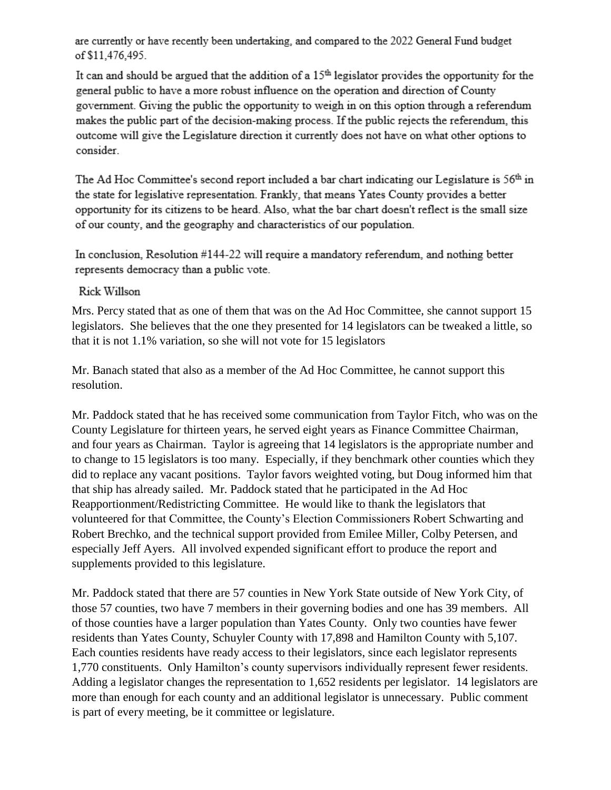are currently or have recently been undertaking, and compared to the 2022 General Fund budget of \$11,476,495.

It can and should be argued that the addition of a  $15<sup>th</sup>$  legislator provides the opportunity for the general public to have a more robust influence on the operation and direction of County government. Giving the public the opportunity to weigh in on this option through a referendum makes the public part of the decision-making process. If the public rejects the referendum, this outcome will give the Legislature direction it currently does not have on what other options to consider

The Ad Hoc Committee's second report included a bar chart indicating our Legislature is 56<sup>th</sup> in the state for legislative representation. Frankly, that means Yates County provides a better opportunity for its citizens to be heard. Also, what the bar chart doesn't reflect is the small size of our county, and the geography and characteristics of our population.

In conclusion, Resolution #144-22 will require a mandatory referendum, and nothing better represents democracy than a public vote.

## Rick Willson

Mrs. Percy stated that as one of them that was on the Ad Hoc Committee, she cannot support 15 legislators. She believes that the one they presented for 14 legislators can be tweaked a little, so that it is not 1.1% variation, so she will not vote for 15 legislators

Mr. Banach stated that also as a member of the Ad Hoc Committee, he cannot support this resolution.

Mr. Paddock stated that he has received some communication from Taylor Fitch, who was on the County Legislature for thirteen years, he served eight years as Finance Committee Chairman, and four years as Chairman. Taylor is agreeing that 14 legislators is the appropriate number and to change to 15 legislators is too many. Especially, if they benchmark other counties which they did to replace any vacant positions. Taylor favors weighted voting, but Doug informed him that that ship has already sailed. Mr. Paddock stated that he participated in the Ad Hoc Reapportionment/Redistricting Committee. He would like to thank the legislators that volunteered for that Committee, the County's Election Commissioners Robert Schwarting and Robert Brechko, and the technical support provided from Emilee Miller, Colby Petersen, and especially Jeff Ayers. All involved expended significant effort to produce the report and supplements provided to this legislature.

Mr. Paddock stated that there are 57 counties in New York State outside of New York City, of those 57 counties, two have 7 members in their governing bodies and one has 39 members. All of those counties have a larger population than Yates County. Only two counties have fewer residents than Yates County, Schuyler County with 17,898 and Hamilton County with 5,107. Each counties residents have ready access to their legislators, since each legislator represents 1,770 constituents. Only Hamilton's county supervisors individually represent fewer residents. Adding a legislator changes the representation to 1,652 residents per legislator. 14 legislators are more than enough for each county and an additional legislator is unnecessary. Public comment is part of every meeting, be it committee or legislature.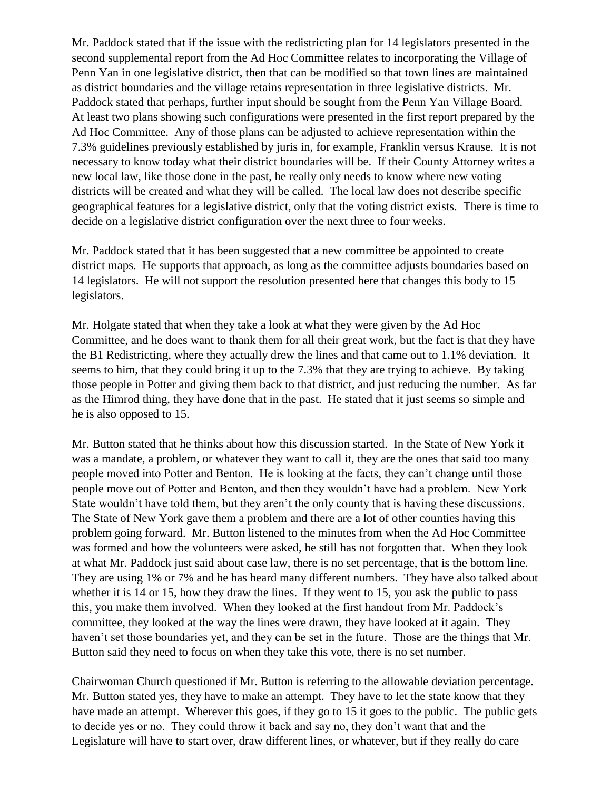Mr. Paddock stated that if the issue with the redistricting plan for 14 legislators presented in the second supplemental report from the Ad Hoc Committee relates to incorporating the Village of Penn Yan in one legislative district, then that can be modified so that town lines are maintained as district boundaries and the village retains representation in three legislative districts. Mr. Paddock stated that perhaps, further input should be sought from the Penn Yan Village Board. At least two plans showing such configurations were presented in the first report prepared by the Ad Hoc Committee. Any of those plans can be adjusted to achieve representation within the 7.3% guidelines previously established by juris in, for example, Franklin versus Krause. It is not necessary to know today what their district boundaries will be. If their County Attorney writes a new local law, like those done in the past, he really only needs to know where new voting districts will be created and what they will be called. The local law does not describe specific geographical features for a legislative district, only that the voting district exists. There is time to decide on a legislative district configuration over the next three to four weeks.

Mr. Paddock stated that it has been suggested that a new committee be appointed to create district maps. He supports that approach, as long as the committee adjusts boundaries based on 14 legislators. He will not support the resolution presented here that changes this body to 15 legislators.

Mr. Holgate stated that when they take a look at what they were given by the Ad Hoc Committee, and he does want to thank them for all their great work, but the fact is that they have the B1 Redistricting, where they actually drew the lines and that came out to 1.1% deviation. It seems to him, that they could bring it up to the 7.3% that they are trying to achieve. By taking those people in Potter and giving them back to that district, and just reducing the number. As far as the Himrod thing, they have done that in the past. He stated that it just seems so simple and he is also opposed to 15.

Mr. Button stated that he thinks about how this discussion started. In the State of New York it was a mandate, a problem, or whatever they want to call it, they are the ones that said too many people moved into Potter and Benton. He is looking at the facts, they can't change until those people move out of Potter and Benton, and then they wouldn't have had a problem. New York State wouldn't have told them, but they aren't the only county that is having these discussions. The State of New York gave them a problem and there are a lot of other counties having this problem going forward. Mr. Button listened to the minutes from when the Ad Hoc Committee was formed and how the volunteers were asked, he still has not forgotten that. When they look at what Mr. Paddock just said about case law, there is no set percentage, that is the bottom line. They are using 1% or 7% and he has heard many different numbers. They have also talked about whether it is 14 or 15, how they draw the lines. If they went to 15, you ask the public to pass this, you make them involved. When they looked at the first handout from Mr. Paddock's committee, they looked at the way the lines were drawn, they have looked at it again. They haven't set those boundaries yet, and they can be set in the future. Those are the things that Mr. Button said they need to focus on when they take this vote, there is no set number.

Chairwoman Church questioned if Mr. Button is referring to the allowable deviation percentage. Mr. Button stated yes, they have to make an attempt. They have to let the state know that they have made an attempt. Wherever this goes, if they go to 15 it goes to the public. The public gets to decide yes or no. They could throw it back and say no, they don't want that and the Legislature will have to start over, draw different lines, or whatever, but if they really do care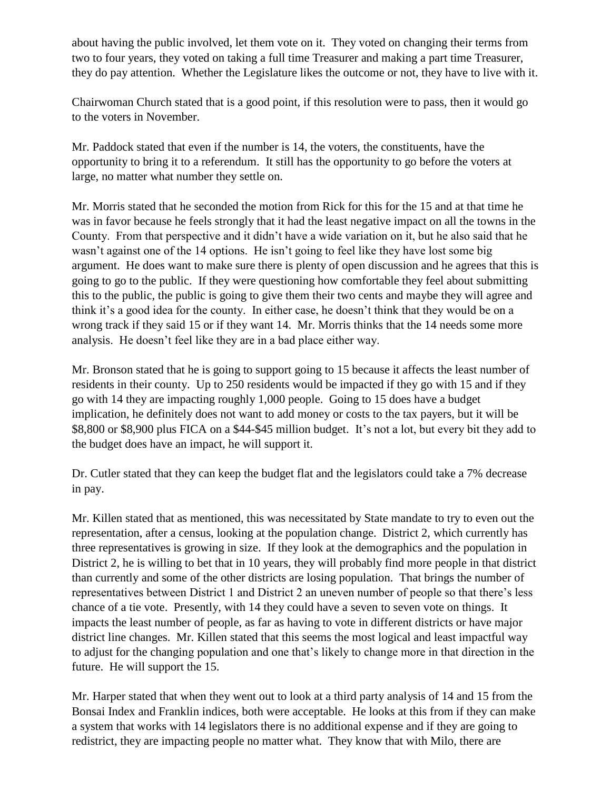about having the public involved, let them vote on it. They voted on changing their terms from two to four years, they voted on taking a full time Treasurer and making a part time Treasurer, they do pay attention. Whether the Legislature likes the outcome or not, they have to live with it.

Chairwoman Church stated that is a good point, if this resolution were to pass, then it would go to the voters in November.

Mr. Paddock stated that even if the number is 14, the voters, the constituents, have the opportunity to bring it to a referendum. It still has the opportunity to go before the voters at large, no matter what number they settle on.

Mr. Morris stated that he seconded the motion from Rick for this for the 15 and at that time he was in favor because he feels strongly that it had the least negative impact on all the towns in the County. From that perspective and it didn't have a wide variation on it, but he also said that he wasn't against one of the 14 options. He isn't going to feel like they have lost some big argument. He does want to make sure there is plenty of open discussion and he agrees that this is going to go to the public. If they were questioning how comfortable they feel about submitting this to the public, the public is going to give them their two cents and maybe they will agree and think it's a good idea for the county. In either case, he doesn't think that they would be on a wrong track if they said 15 or if they want 14. Mr. Morris thinks that the 14 needs some more analysis. He doesn't feel like they are in a bad place either way.

Mr. Bronson stated that he is going to support going to 15 because it affects the least number of residents in their county. Up to 250 residents would be impacted if they go with 15 and if they go with 14 they are impacting roughly 1,000 people. Going to 15 does have a budget implication, he definitely does not want to add money or costs to the tax payers, but it will be \$8,800 or \$8,900 plus FICA on a \$44-\$45 million budget. It's not a lot, but every bit they add to the budget does have an impact, he will support it.

Dr. Cutler stated that they can keep the budget flat and the legislators could take a 7% decrease in pay.

Mr. Killen stated that as mentioned, this was necessitated by State mandate to try to even out the representation, after a census, looking at the population change. District 2, which currently has three representatives is growing in size. If they look at the demographics and the population in District 2, he is willing to bet that in 10 years, they will probably find more people in that district than currently and some of the other districts are losing population. That brings the number of representatives between District 1 and District 2 an uneven number of people so that there's less chance of a tie vote. Presently, with 14 they could have a seven to seven vote on things. It impacts the least number of people, as far as having to vote in different districts or have major district line changes. Mr. Killen stated that this seems the most logical and least impactful way to adjust for the changing population and one that's likely to change more in that direction in the future. He will support the 15.

Mr. Harper stated that when they went out to look at a third party analysis of 14 and 15 from the Bonsai Index and Franklin indices, both were acceptable. He looks at this from if they can make a system that works with 14 legislators there is no additional expense and if they are going to redistrict, they are impacting people no matter what. They know that with Milo, there are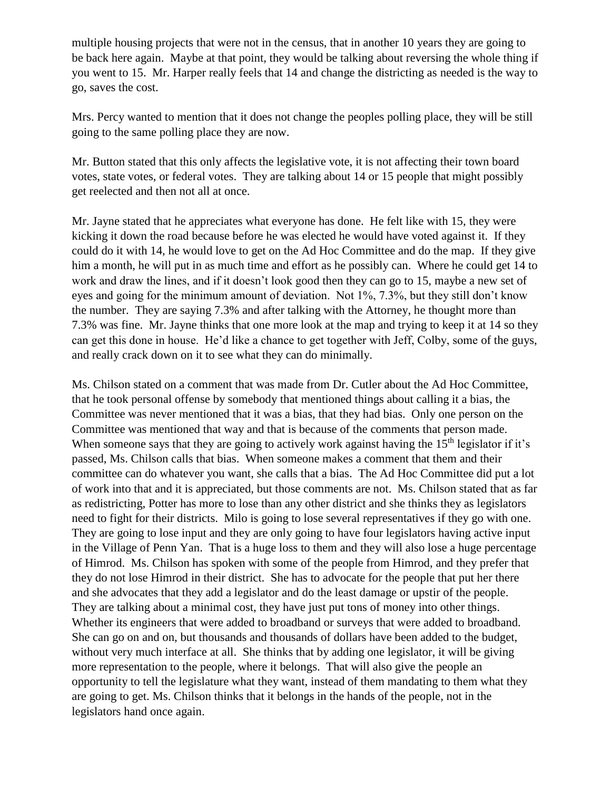multiple housing projects that were not in the census, that in another 10 years they are going to be back here again. Maybe at that point, they would be talking about reversing the whole thing if you went to 15. Mr. Harper really feels that 14 and change the districting as needed is the way to go, saves the cost.

Mrs. Percy wanted to mention that it does not change the peoples polling place, they will be still going to the same polling place they are now.

Mr. Button stated that this only affects the legislative vote, it is not affecting their town board votes, state votes, or federal votes. They are talking about 14 or 15 people that might possibly get reelected and then not all at once.

Mr. Jayne stated that he appreciates what everyone has done. He felt like with 15, they were kicking it down the road because before he was elected he would have voted against it. If they could do it with 14, he would love to get on the Ad Hoc Committee and do the map. If they give him a month, he will put in as much time and effort as he possibly can. Where he could get 14 to work and draw the lines, and if it doesn't look good then they can go to 15, maybe a new set of eyes and going for the minimum amount of deviation. Not 1%, 7.3%, but they still don't know the number. They are saying 7.3% and after talking with the Attorney, he thought more than 7.3% was fine. Mr. Jayne thinks that one more look at the map and trying to keep it at 14 so they can get this done in house. He'd like a chance to get together with Jeff, Colby, some of the guys, and really crack down on it to see what they can do minimally.

Ms. Chilson stated on a comment that was made from Dr. Cutler about the Ad Hoc Committee, that he took personal offense by somebody that mentioned things about calling it a bias, the Committee was never mentioned that it was a bias, that they had bias. Only one person on the Committee was mentioned that way and that is because of the comments that person made. When someone says that they are going to actively work against having the  $15<sup>th</sup>$  legislator if it's passed, Ms. Chilson calls that bias. When someone makes a comment that them and their committee can do whatever you want, she calls that a bias. The Ad Hoc Committee did put a lot of work into that and it is appreciated, but those comments are not. Ms. Chilson stated that as far as redistricting, Potter has more to lose than any other district and she thinks they as legislators need to fight for their districts. Milo is going to lose several representatives if they go with one. They are going to lose input and they are only going to have four legislators having active input in the Village of Penn Yan. That is a huge loss to them and they will also lose a huge percentage of Himrod. Ms. Chilson has spoken with some of the people from Himrod, and they prefer that they do not lose Himrod in their district. She has to advocate for the people that put her there and she advocates that they add a legislator and do the least damage or upstir of the people. They are talking about a minimal cost, they have just put tons of money into other things. Whether its engineers that were added to broadband or surveys that were added to broadband. She can go on and on, but thousands and thousands of dollars have been added to the budget, without very much interface at all. She thinks that by adding one legislator, it will be giving more representation to the people, where it belongs. That will also give the people an opportunity to tell the legislature what they want, instead of them mandating to them what they are going to get. Ms. Chilson thinks that it belongs in the hands of the people, not in the legislators hand once again.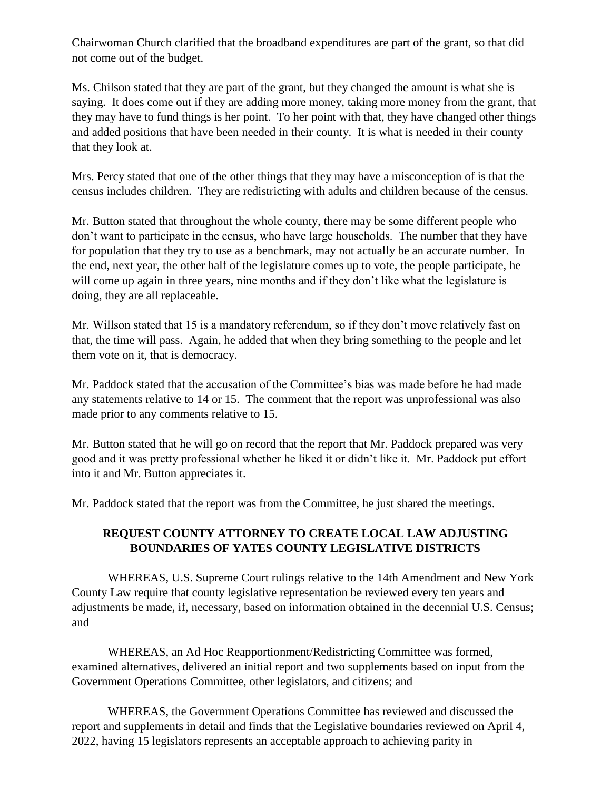Chairwoman Church clarified that the broadband expenditures are part of the grant, so that did not come out of the budget.

Ms. Chilson stated that they are part of the grant, but they changed the amount is what she is saying. It does come out if they are adding more money, taking more money from the grant, that they may have to fund things is her point. To her point with that, they have changed other things and added positions that have been needed in their county. It is what is needed in their county that they look at.

Mrs. Percy stated that one of the other things that they may have a misconception of is that the census includes children. They are redistricting with adults and children because of the census.

Mr. Button stated that throughout the whole county, there may be some different people who don't want to participate in the census, who have large households. The number that they have for population that they try to use as a benchmark, may not actually be an accurate number. In the end, next year, the other half of the legislature comes up to vote, the people participate, he will come up again in three years, nine months and if they don't like what the legislature is doing, they are all replaceable.

Mr. Willson stated that 15 is a mandatory referendum, so if they don't move relatively fast on that, the time will pass. Again, he added that when they bring something to the people and let them vote on it, that is democracy.

Mr. Paddock stated that the accusation of the Committee's bias was made before he had made any statements relative to 14 or 15. The comment that the report was unprofessional was also made prior to any comments relative to 15.

Mr. Button stated that he will go on record that the report that Mr. Paddock prepared was very good and it was pretty professional whether he liked it or didn't like it. Mr. Paddock put effort into it and Mr. Button appreciates it.

Mr. Paddock stated that the report was from the Committee, he just shared the meetings.

## **REQUEST COUNTY ATTORNEY TO CREATE LOCAL LAW ADJUSTING BOUNDARIES OF YATES COUNTY LEGISLATIVE DISTRICTS**

WHEREAS, U.S. Supreme Court rulings relative to the 14th Amendment and New York County Law require that county legislative representation be reviewed every ten years and adjustments be made, if, necessary, based on information obtained in the decennial U.S. Census; and

WHEREAS, an Ad Hoc Reapportionment/Redistricting Committee was formed, examined alternatives, delivered an initial report and two supplements based on input from the Government Operations Committee, other legislators, and citizens; and

WHEREAS, the Government Operations Committee has reviewed and discussed the report and supplements in detail and finds that the Legislative boundaries reviewed on April 4, 2022, having 15 legislators represents an acceptable approach to achieving parity in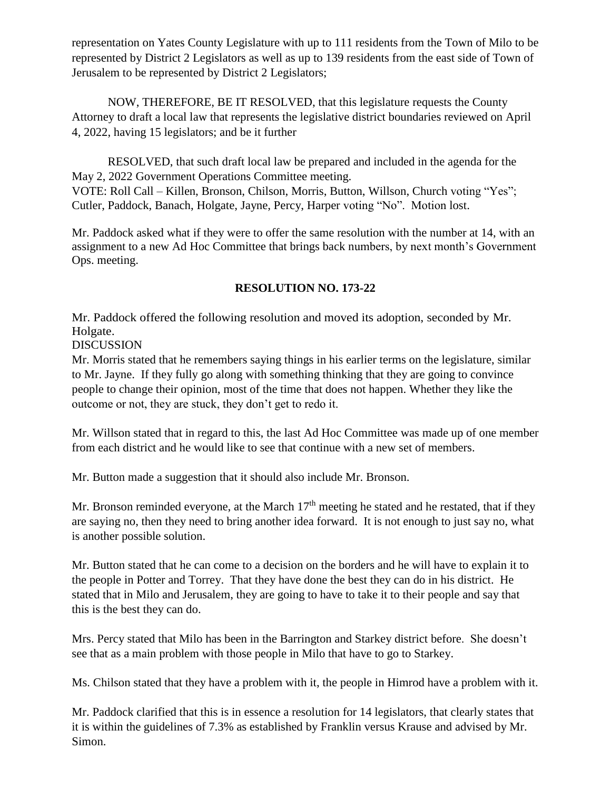representation on Yates County Legislature with up to 111 residents from the Town of Milo to be represented by District 2 Legislators as well as up to 139 residents from the east side of Town of Jerusalem to be represented by District 2 Legislators;

NOW, THEREFORE, BE IT RESOLVED, that this legislature requests the County Attorney to draft a local law that represents the legislative district boundaries reviewed on April 4, 2022, having 15 legislators; and be it further

RESOLVED, that such draft local law be prepared and included in the agenda for the May 2, 2022 Government Operations Committee meeting. VOTE: Roll Call – Killen, Bronson, Chilson, Morris, Button, Willson, Church voting "Yes"; Cutler, Paddock, Banach, Holgate, Jayne, Percy, Harper voting "No". Motion lost.

Mr. Paddock asked what if they were to offer the same resolution with the number at 14, with an assignment to a new Ad Hoc Committee that brings back numbers, by next month's Government Ops. meeting.

## **RESOLUTION NO. 173-22**

Mr. Paddock offered the following resolution and moved its adoption, seconded by Mr. Holgate.

DISCUSSION

Mr. Morris stated that he remembers saying things in his earlier terms on the legislature, similar to Mr. Jayne. If they fully go along with something thinking that they are going to convince people to change their opinion, most of the time that does not happen. Whether they like the outcome or not, they are stuck, they don't get to redo it.

Mr. Willson stated that in regard to this, the last Ad Hoc Committee was made up of one member from each district and he would like to see that continue with a new set of members.

Mr. Button made a suggestion that it should also include Mr. Bronson.

Mr. Bronson reminded everyone, at the March  $17<sup>th</sup>$  meeting he stated and he restated, that if they are saying no, then they need to bring another idea forward. It is not enough to just say no, what is another possible solution.

Mr. Button stated that he can come to a decision on the borders and he will have to explain it to the people in Potter and Torrey. That they have done the best they can do in his district. He stated that in Milo and Jerusalem, they are going to have to take it to their people and say that this is the best they can do.

Mrs. Percy stated that Milo has been in the Barrington and Starkey district before. She doesn't see that as a main problem with those people in Milo that have to go to Starkey.

Ms. Chilson stated that they have a problem with it, the people in Himrod have a problem with it.

Mr. Paddock clarified that this is in essence a resolution for 14 legislators, that clearly states that it is within the guidelines of 7.3% as established by Franklin versus Krause and advised by Mr. Simon.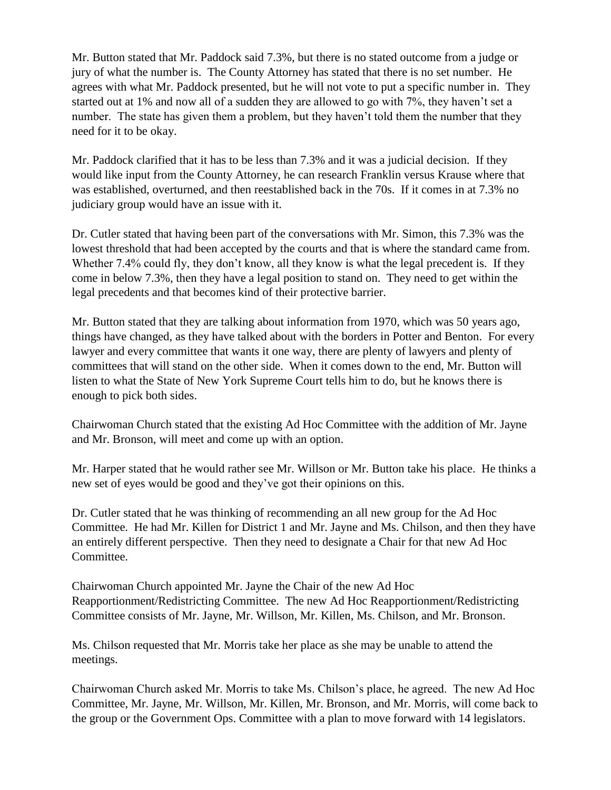Mr. Button stated that Mr. Paddock said 7.3%, but there is no stated outcome from a judge or jury of what the number is. The County Attorney has stated that there is no set number. He agrees with what Mr. Paddock presented, but he will not vote to put a specific number in. They started out at 1% and now all of a sudden they are allowed to go with 7%, they haven't set a number. The state has given them a problem, but they haven't told them the number that they need for it to be okay.

Mr. Paddock clarified that it has to be less than 7.3% and it was a judicial decision. If they would like input from the County Attorney, he can research Franklin versus Krause where that was established, overturned, and then reestablished back in the 70s. If it comes in at 7.3% no judiciary group would have an issue with it.

Dr. Cutler stated that having been part of the conversations with Mr. Simon, this 7.3% was the lowest threshold that had been accepted by the courts and that is where the standard came from. Whether 7.4% could fly, they don't know, all they know is what the legal precedent is. If they come in below 7.3%, then they have a legal position to stand on. They need to get within the legal precedents and that becomes kind of their protective barrier.

Mr. Button stated that they are talking about information from 1970, which was 50 years ago, things have changed, as they have talked about with the borders in Potter and Benton. For every lawyer and every committee that wants it one way, there are plenty of lawyers and plenty of committees that will stand on the other side. When it comes down to the end, Mr. Button will listen to what the State of New York Supreme Court tells him to do, but he knows there is enough to pick both sides.

Chairwoman Church stated that the existing Ad Hoc Committee with the addition of Mr. Jayne and Mr. Bronson, will meet and come up with an option.

Mr. Harper stated that he would rather see Mr. Willson or Mr. Button take his place. He thinks a new set of eyes would be good and they've got their opinions on this.

Dr. Cutler stated that he was thinking of recommending an all new group for the Ad Hoc Committee. He had Mr. Killen for District 1 and Mr. Jayne and Ms. Chilson, and then they have an entirely different perspective. Then they need to designate a Chair for that new Ad Hoc Committee.

Chairwoman Church appointed Mr. Jayne the Chair of the new Ad Hoc Reapportionment/Redistricting Committee. The new Ad Hoc Reapportionment/Redistricting Committee consists of Mr. Jayne, Mr. Willson, Mr. Killen, Ms. Chilson, and Mr. Bronson.

Ms. Chilson requested that Mr. Morris take her place as she may be unable to attend the meetings.

Chairwoman Church asked Mr. Morris to take Ms. Chilson's place, he agreed. The new Ad Hoc Committee, Mr. Jayne, Mr. Willson, Mr. Killen, Mr. Bronson, and Mr. Morris, will come back to the group or the Government Ops. Committee with a plan to move forward with 14 legislators.